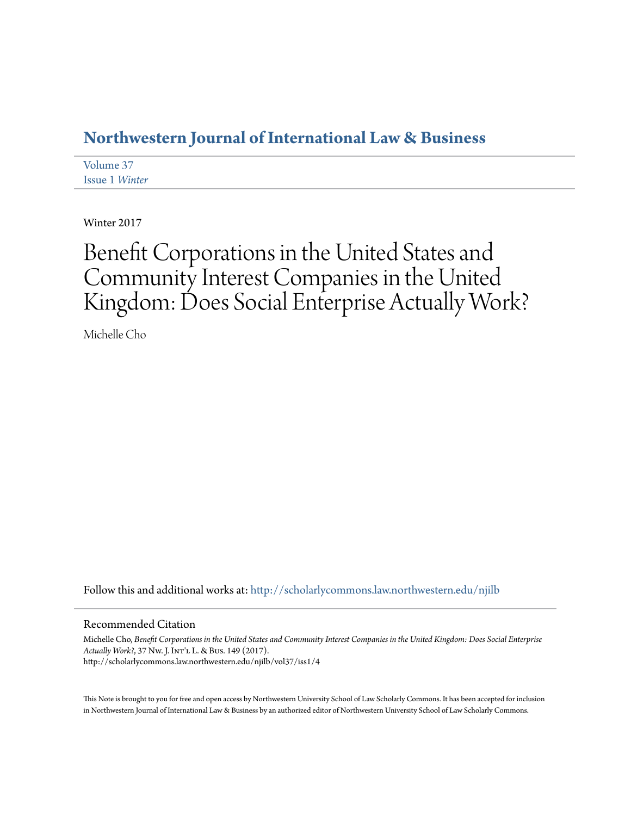# **[Northwestern Journal of International Law & Business](http://scholarlycommons.law.northwestern.edu/njilb?utm_source=scholarlycommons.law.northwestern.edu%2Fnjilb%2Fvol37%2Fiss1%2F4&utm_medium=PDF&utm_campaign=PDFCoverPages)**

[Volume 37](http://scholarlycommons.law.northwestern.edu/njilb/vol37?utm_source=scholarlycommons.law.northwestern.edu%2Fnjilb%2Fvol37%2Fiss1%2F4&utm_medium=PDF&utm_campaign=PDFCoverPages) [Issue 1](http://scholarlycommons.law.northwestern.edu/njilb/vol37/iss1?utm_source=scholarlycommons.law.northwestern.edu%2Fnjilb%2Fvol37%2Fiss1%2F4&utm_medium=PDF&utm_campaign=PDFCoverPages) *Winter*

Winter 2017

# Benefit Corporations in the United States and Community Interest Companies in the United Kingdom: Does Social Enterprise Actually Work?

Michelle Cho

Follow this and additional works at: [http://scholarlycommons.law.northwestern.edu/njilb](http://scholarlycommons.law.northwestern.edu/njilb?utm_source=scholarlycommons.law.northwestern.edu%2Fnjilb%2Fvol37%2Fiss1%2F4&utm_medium=PDF&utm_campaign=PDFCoverPages)

## Recommended Citation

Michelle Cho, *Benefit Corporations in the United States and Community Interest Companies in the United Kingdom: Does Social Enterprise Actually Work?*, 37 Nw. J. Int'l L. & Bus. 149 (2017). http://scholarlycommons.law.northwestern.edu/njilb/vol37/iss1/4

This Note is brought to you for free and open access by Northwestern University School of Law Scholarly Commons. It has been accepted for inclusion in Northwestern Journal of International Law & Business by an authorized editor of Northwestern University School of Law Scholarly Commons.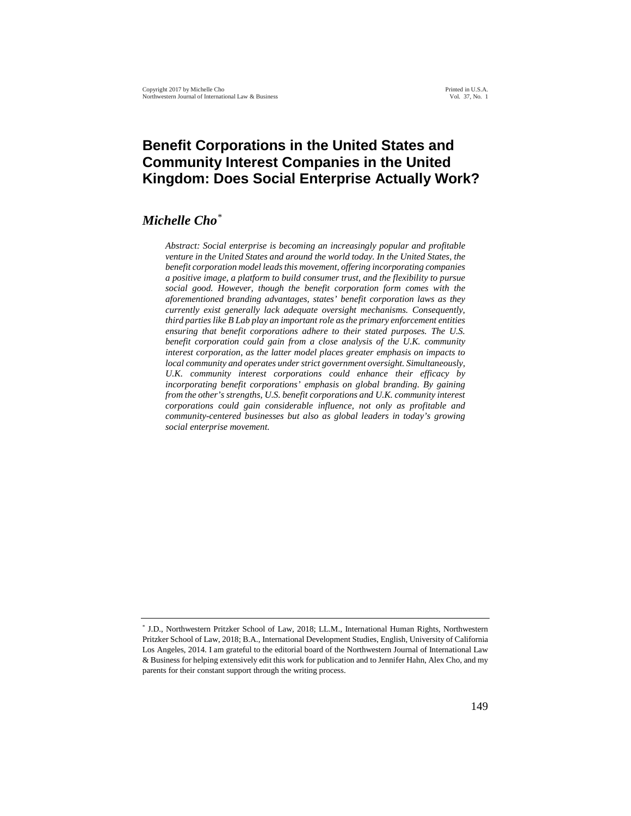# **Benefit Corporations in the United States and Community Interest Companies in the United Kingdom: Does Social Enterprise Actually Work?**

## *Michelle Cho*[\\*](#page-1-0)

*Abstract: Social enterprise is becoming an increasingly popular and profitable venture in the United States and around the world today. In the United States, the benefit corporation model leadsthis movement, offering incorporating companies a positive image, a platform to build consumer trust, and the flexibility to pursue social good. However, though the benefit corporation form comes with the aforementioned branding advantages, states' benefit corporation laws as they currently exist generally lack adequate oversight mechanisms. Consequently, third parties like B Lab play an important role as the primary enforcement entities ensuring that benefit corporations adhere to their stated purposes. The U.S. benefit corporation could gain from a close analysis of the U.K. community interest corporation, as the latter model places greater emphasis on impacts to local community and operates under strict government oversight. Simultaneously, U.K. community interest corporations could enhance their efficacy by incorporating benefit corporations' emphasis on global branding. By gaining from the other's strengths, U.S. benefit corporations and U.K. community interest corporations could gain considerable influence, not only as profitable and community-centered businesses but also as global leaders in today's growing social enterprise movement.* 

<span id="page-1-0"></span><sup>\*</sup> J.D., Northwestern Pritzker School of Law, 2018; LL.M., International Human Rights, Northwestern Pritzker School of Law, 2018; B.A., International Development Studies, English, University of California Los Angeles, 2014. I am grateful to the editorial board of the Northwestern Journal of International Law & Business for helping extensively edit this work for publication and to Jennifer Hahn, Alex Cho, and my parents for their constant support through the writing process.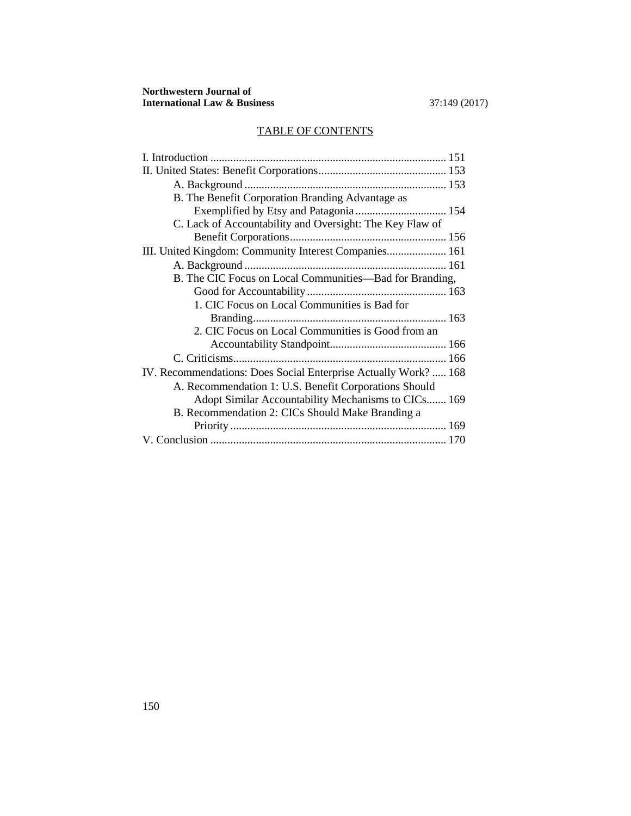# TABLE OF CONTENTS

| B. The Benefit Corporation Branding Advantage as                |
|-----------------------------------------------------------------|
|                                                                 |
| C. Lack of Accountability and Oversight: The Key Flaw of        |
|                                                                 |
| III. United Kingdom: Community Interest Companies 161           |
|                                                                 |
| B. The CIC Focus on Local Communities—Bad for Branding,         |
|                                                                 |
| 1. CIC Focus on Local Communities is Bad for                    |
|                                                                 |
| 2. CIC Focus on Local Communities is Good from an               |
|                                                                 |
|                                                                 |
| IV. Recommendations: Does Social Enterprise Actually Work?  168 |
| A. Recommendation 1: U.S. Benefit Corporations Should           |
| Adopt Similar Accountability Mechanisms to CICs 169             |
| B. Recommendation 2: CICs Should Make Branding a                |
|                                                                 |
|                                                                 |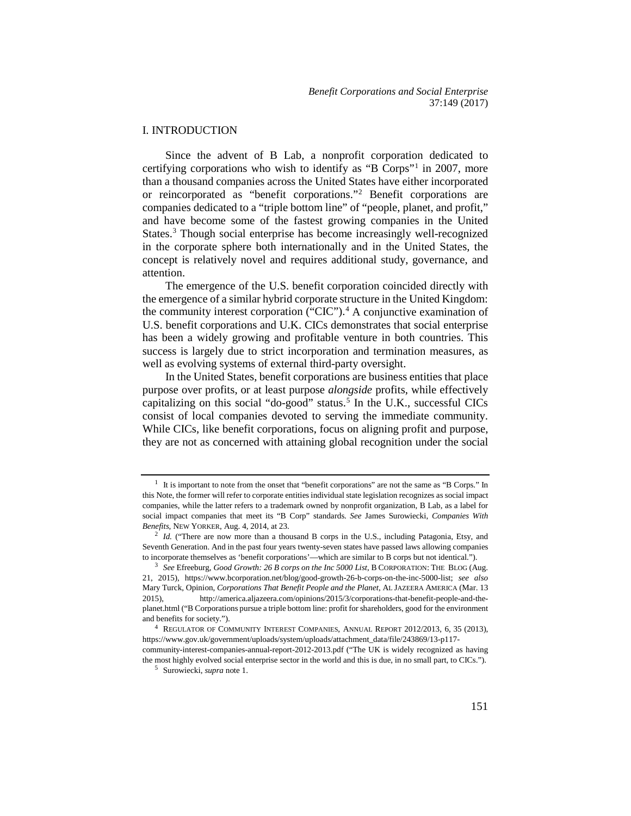#### I. INTRODUCTION

Since the advent of B Lab, a nonprofit corporation dedicated to certifying corporations who wish to identify as "B Corps"[1](#page-3-0) in 2007, more than a thousand companies across the United States have either incorporated or reincorporated as "benefit corporations."[2](#page-3-1) Benefit corporations are companies dedicated to a "triple bottom line" of "people, planet, and profit," and have become some of the fastest growing companies in the United States.[3](#page-3-2) Though social enterprise has become increasingly well-recognized in the corporate sphere both internationally and in the United States, the concept is relatively novel and requires additional study, governance, and attention.

The emergence of the U.S. benefit corporation coincided directly with the emergence of a similar hybrid corporate structure in the United Kingdom: the community interest corporation ("CIC").<sup>[4](#page-3-3)</sup> A conjunctive examination of U.S. benefit corporations and U.K. CICs demonstrates that social enterprise has been a widely growing and profitable venture in both countries. This success is largely due to strict incorporation and termination measures, as well as evolving systems of external third-party oversight.

In the United States, benefit corporations are business entities that place purpose over profits, or at least purpose *alongside* profits, while effectively capitalizing on this social "do-good" status.<sup>[5](#page-3-4)</sup> In the U.K., successful CICs consist of local companies devoted to serving the immediate community. While CICs, like benefit corporations, focus on aligning profit and purpose, they are not as concerned with attaining global recognition under the social

<span id="page-3-0"></span> $<sup>1</sup>$  It is important to note from the onset that "benefit corporations" are not the same as "B Corps." In</sup> this Note, the former will refer to corporate entities individual state legislation recognizes as social impact companies, while the latter refers to a trademark owned by nonprofit organization, B Lab, as a label for social impact companies that meet its "B Corp" standards. *See* James Surowiecki, *Companies With Benefits*, NEW YORKER, Aug. 4, 2014, at 23.

<span id="page-3-1"></span><sup>&</sup>lt;sup>2</sup> *Id.* ("There are now more than a thousand B corps in the U.S., including Patagonia, Etsy, and Seventh Generation. And in the past four years twenty-seven states have passed laws allowing companies to incorporate themselves as 'benefit corporations'—which are similar to B corps but not identical."). 3 *See* Efreeburg, *Good Growth: 26 B corps on the Inc 5000 List*, B CORPORATION: THE BLOG (Aug.

<span id="page-3-2"></span><sup>21, 2015),</sup> https://www.bcorporation.net/blog/good-growth-26-b-corps-on-the-inc-5000-list; *see also*  Mary Turck, Opinion, *Corporations That Benefit People and the Planet*, AL JAZEERA AMERICA (Mar. 13 2015), http://america.aljazeera.com/opinions/2015/3/corporations-that-benefit-people-and-theplanet.html ("B Corporations pursue a triple bottom line: profit for shareholders, good for the environment and benefits for society.").

<span id="page-3-4"></span><span id="page-3-3"></span><sup>4</sup> REGULATOR OF COMMUNITY INTEREST COMPANIES, ANNUAL REPORT 2012/2013, 6, 35 (2013), https://www.gov.uk/government/uploads/system/uploads/attachment\_data/file/243869/13-p117 community-interest-companies-annual-report-2012-2013.pdf ("The UK is widely recognized as having the most highly evolved social enterprise sector in the world and this is due, in no small part, to CICs."). 5 Surowiecki, *supra* note 1.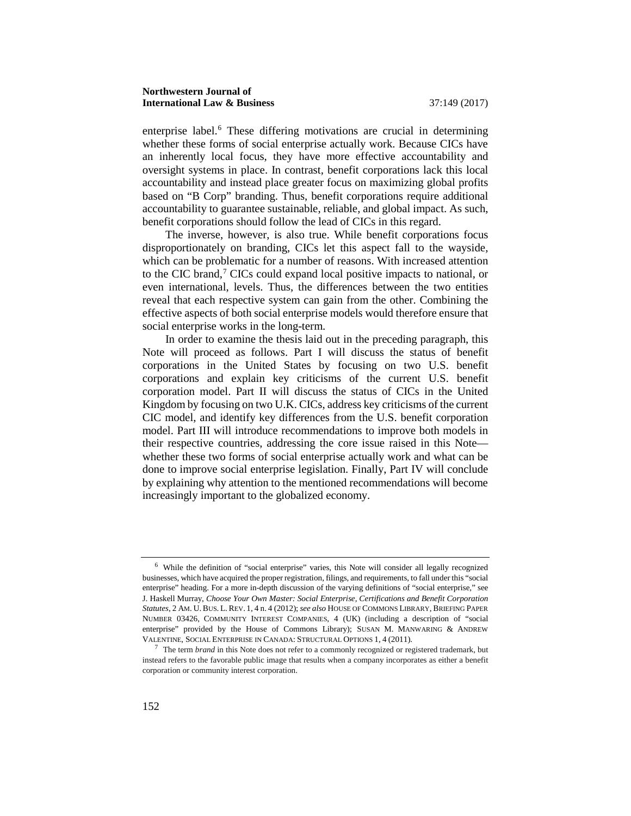enterprise label.<sup>[6](#page-4-0)</sup> These differing motivations are crucial in determining whether these forms of social enterprise actually work. Because CICs have an inherently local focus, they have more effective accountability and oversight systems in place. In contrast, benefit corporations lack this local accountability and instead place greater focus on maximizing global profits based on "B Corp" branding. Thus, benefit corporations require additional accountability to guarantee sustainable, reliable, and global impact. As such, benefit corporations should follow the lead of CICs in this regard.

The inverse, however, is also true. While benefit corporations focus disproportionately on branding, CICs let this aspect fall to the wayside, which can be problematic for a number of reasons. With increased attention to the CIC brand,<sup>[7](#page-4-1)</sup> CICs could expand local positive impacts to national, or even international, levels. Thus, the differences between the two entities reveal that each respective system can gain from the other. Combining the effective aspects of both social enterprise models would therefore ensure that social enterprise works in the long-term.

In order to examine the thesis laid out in the preceding paragraph, this Note will proceed as follows. Part I will discuss the status of benefit corporations in the United States by focusing on two U.S. benefit corporations and explain key criticisms of the current U.S. benefit corporation model. Part II will discuss the status of CICs in the United Kingdom by focusing on two U.K. CICs, address key criticisms of the current CIC model, and identify key differences from the U.S. benefit corporation model. Part III will introduce recommendations to improve both models in their respective countries, addressing the core issue raised in this Note whether these two forms of social enterprise actually work and what can be done to improve social enterprise legislation. Finally, Part IV will conclude by explaining why attention to the mentioned recommendations will become increasingly important to the globalized economy.

<span id="page-4-0"></span><sup>6</sup> While the definition of "social enterprise" varies, this Note will consider all legally recognized businesses, which have acquired the proper registration, filings, and requirements, to fall under this "social enterprise" heading. For a more in-depth discussion of the varying definitions of "social enterprise," see J. Haskell Murray, *Choose Your Own Master: Social Enterprise, Certifications and Benefit Corporation Statutes*, 2 AM. U. BUS. L. REV. 1, 4 n. 4 (2012); *see also* HOUSE OF COMMONS LIBRARY, BRIEFING PAPER NUMBER 03426, COMMUNITY INTEREST COMPANIES, 4 (UK) (including a description of "social enterprise" provided by the House of Commons Library); SUSAN M. MANWARING & ANDREW VALENTINE, SOCIAL ENTERPRISE IN CANADA: STRUCTURAL OPTIONS 1, 4 (2011).

<span id="page-4-1"></span><sup>7</sup> The term *brand* in this Note does not refer to a commonly recognized or registered trademark, but instead refers to the favorable public image that results when a company incorporates as either a benefit corporation or community interest corporation.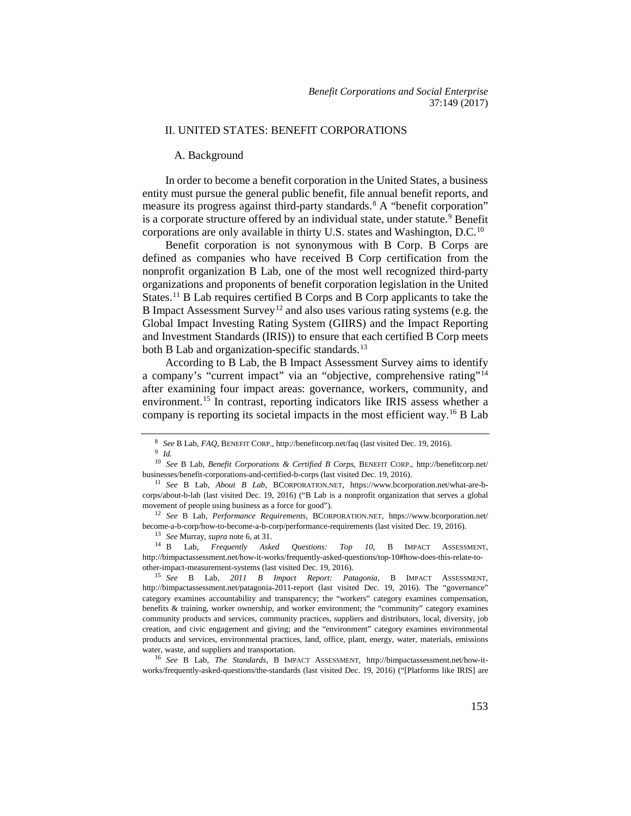#### II. UNITED STATES: BENEFIT CORPORATIONS

#### A. Background

In order to become a benefit corporation in the United States, a business entity must pursue the general public benefit, file annual benefit reports, and measure its progress against third-party standards.<sup>[8](#page-5-0)</sup> A "benefit corporation" is a corporate structure offered by an individual state, under statute.<sup>[9](#page-5-1)</sup> Benefit corporations are only available in thirty U.S. states and Washington, D.C.[10](#page-5-2)

Benefit corporation is not synonymous with B Corp. B Corps are defined as companies who have received B Corp certification from the nonprofit organization B Lab, one of the most well recognized third-party organizations and proponents of benefit corporation legislation in the United States.<sup>[11](#page-5-3)</sup> B Lab requires certified B Corps and B Corp applicants to take the B Impact Assessment Survey<sup>[12](#page-5-4)</sup> and also uses various rating systems (e.g. the Global Impact Investing Rating System (GIIRS) and the Impact Reporting and Investment Standards (IRIS)) to ensure that each certified B Corp meets both B Lab and organization-specific standards.<sup>[13](#page-5-5)</sup>

According to B Lab, the B Impact Assessment Survey aims to identify a company's "current impact" via an "objective, comprehensive rating"[14](#page-5-6) after examining four impact areas: governance, workers, community, and environment.<sup>[15](#page-5-7)</sup> In contrast, reporting indicators like IRIS assess whether a company is reporting its societal impacts in the most efficient way.[16](#page-5-8) B Lab

<sup>13</sup> *See* Murray, *supra* note 6, at 31.

<span id="page-5-6"></span><span id="page-5-5"></span><sup>14</sup> B Lab, *Frequently Asked Questions: Top 10*, B IMPACT ASSESSMENT, http://bimpactassessment.net/how-it-works/frequently-asked-questions/top-10#how-does-this-relate-toother-impact-measurement-systems (last visited Dec. 19, 2016).

<span id="page-5-7"></span><sup>15</sup> *See* B Lab, *2011 B Impact Report: Patagonia*, B IMPACT ASSESSMENT, http://bimpactassessment.net/patagonia-2011-report (last visited Dec. 19, 2016). The "governance" category examines accountability and transparency; the "workers" category examines compensation, benefits & training, worker ownership, and worker environment; the "community" category examines community products and services, community practices, suppliers and distributors, local, diversity, job creation, and civic engagement and giving; and the "environment" category examines environmental products and services, environmental practices, land, office, plant, energy, water, materials, emissions water, waste, and suppliers and transportation.<br><sup>16</sup> *See* B Lab, *The Standards*, B IMPACT ASSESSMENT, http://bimpactassessment.net/how-it-

<span id="page-5-8"></span>works/frequently-asked-questions/the-standards (last visited Dec. 19, 2016) ("[Platforms like IRIS] are

<sup>8</sup> *See* B Lab, *FAQ*, BENEFIT CORP., http://benefitcorp.net/faq (last visited Dec. 19, 2016). 9 *Id.* 

<span id="page-5-2"></span><span id="page-5-1"></span><span id="page-5-0"></span><sup>10</sup> *See* B Lab, *Benefit Corporations & Certified B Corps*, BENEFIT CORP., http://benefitcorp.net/ businesses/benefit-corporations-and-certified-b-corps (last visited Dec. 19, 2016).

<span id="page-5-3"></span><sup>11</sup> *See* B Lab, *About B Lab*, BCORPORATION.NET, https://www.bcorporation.net/what-are-bcorps/about-b-lab (last visited Dec. 19, 2016) ("B Lab is a nonprofit organization that serves a global

<span id="page-5-4"></span>movement of people using business as a force for good").<br><sup>12</sup> *See* B Lab, *Performance Requirements*, BCORPORATION.NET, https://www.bcorporation.net/ become-a-b-corp/how-to-become-a-b-corp/performance-requirements (last visited Dec. 19, 2016).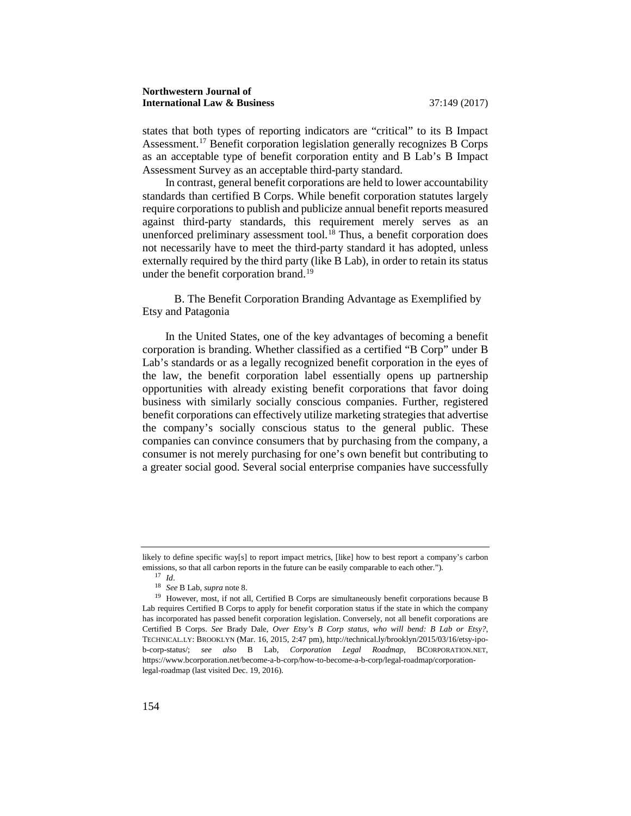states that both types of reporting indicators are "critical" to its B Impact Assessment.<sup>17</sup> Benefit corporation legislation generally recognizes B Corps as an acceptable type of benefit corporation entity and B Lab's B Impact Assessment Survey as an acceptable third-party standard.

In contrast, general benefit corporations are held to lower accountability standards than certified B Corps. While benefit corporation statutes largely require corporations to publish and publicize annual benefit reports measured against third-party standards, this requirement merely serves as an unenforced preliminary assessment tool.<sup>[18](#page-6-1)</sup> Thus, a benefit corporation does not necessarily have to meet the third-party standard it has adopted, unless externally required by the third party (like B Lab), in order to retain its status under the benefit corporation brand.<sup>[19](#page-6-2)</sup>

B. The Benefit Corporation Branding Advantage as Exemplified by Etsy and Patagonia

In the United States, one of the key advantages of becoming a benefit corporation is branding. Whether classified as a certified "B Corp" under B Lab's standards or as a legally recognized benefit corporation in the eyes of the law, the benefit corporation label essentially opens up partnership opportunities with already existing benefit corporations that favor doing business with similarly socially conscious companies. Further, registered benefit corporations can effectively utilize marketing strategies that advertise the company's socially conscious status to the general public. These companies can convince consumers that by purchasing from the company, a consumer is not merely purchasing for one's own benefit but contributing to a greater social good. Several social enterprise companies have successfully

<span id="page-6-0"></span>likely to define specific way[s] to report impact metrics, [like] how to best report a company's carbon emissions, so that all carbon reports in the future can be easily comparable to each other.").

 $17$  *Id.* 

<sup>18</sup> *See* B Lab, *supra* note 8.

<span id="page-6-2"></span><span id="page-6-1"></span><sup>&</sup>lt;sup>19</sup> However, most, if not all, Certified B Corps are simultaneously benefit corporations because B Lab requires Certified B Corps to apply for benefit corporation status if the state in which the company has incorporated has passed benefit corporation legislation. Conversely, not all benefit corporations are Certified B Corps. *See* Brady Dale, *Over Etsy's B Corp status, who will bend: B Lab or Etsy?*, TECHNICAL.LY: BROOKLYN (Mar. 16, 2015, 2:47 pm), http://technical.ly/brooklyn/2015/03/16/etsy-ipob-corp-status/; *see also* B Lab, *Corporation Legal Roadmap*, BCORPORATION.NET, https://www.bcorporation.net/become-a-b-corp/how-to-become-a-b-corp/legal-roadmap/corporationlegal-roadmap (last visited Dec. 19, 2016).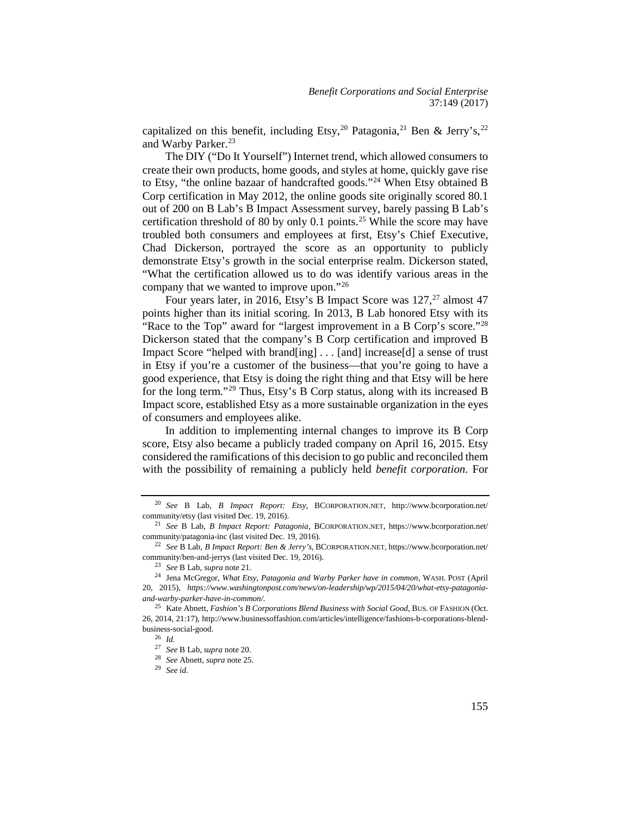capitalized on this benefit, including Etsy,<sup>20</sup> Patagonia,<sup>[21](#page-7-1)</sup> Ben & Jerry's,<sup>[22](#page-7-2)</sup> and Warby Parker.<sup>[23](#page-7-3)</sup>

The DIY ("Do It Yourself") Internet trend, which allowed consumers to create their own products, home goods, and styles at home, quickly gave rise to Etsy, "the online bazaar of handcrafted goods."[24](#page-7-4) When Etsy obtained B Corp certification in May 2012, the online goods site originally scored 80.1 out of 200 on B Lab's B Impact Assessment survey, barely passing B Lab's certification threshold of 80 by only 0.1 points.[25](#page-7-5) While the score may have troubled both consumers and employees at first, Etsy's Chief Executive, Chad Dickerson, portrayed the score as an opportunity to publicly demonstrate Etsy's growth in the social enterprise realm. Dickerson stated, "What the certification allowed us to do was identify various areas in the company that we wanted to improve upon."[26](#page-7-6)

Four years later, in 2016, Etsy's B Impact Score was  $127$  $127$ ,<sup>27</sup> almost 47 points higher than its initial scoring. In 2013, B Lab honored Etsy with its "Race to the Top" award for "largest improvement in a B Corp's score."<sup>[28](#page-7-8)</sup> Dickerson stated that the company's B Corp certification and improved B Impact Score "helped with brand[ing] . . . [and] increase[d] a sense of trust in Etsy if you're a customer of the business—that you're going to have a good experience, that Etsy is doing the right thing and that Etsy will be here for the long term."[29](#page-7-9) Thus, Etsy's B Corp status, along with its increased B Impact score, established Etsy as a more sustainable organization in the eyes of consumers and employees alike.

In addition to implementing internal changes to improve its B Corp score, Etsy also became a publicly traded company on April 16, 2015. Etsy considered the ramifications of this decision to go public and reconciled them with the possibility of remaining a publicly held *benefit corporation*. For

<sup>28</sup> *See* Abnett, *supra* note 25.

<sup>29</sup> *See id*.

<span id="page-7-0"></span><sup>20</sup> *See* B Lab, *B Impact Report: Etsy*, BCORPORATION.NET, http://www.bcorporation.net/ community/etsy (last visited Dec. 19, 2016). 21 *See* B Lab, *B Impact Report: Patagonia*, BCORPORATION.NET, https://www.bcorporation.net/

<span id="page-7-1"></span>community/patagonia-inc (last visited Dec. 19, 2016).

<span id="page-7-2"></span><sup>22</sup> *See* B Lab, *B Impact Report: Ben & Jerry's*, BCORPORATION.NET, https://www.bcorporation.net/ community/ben-and-jerrys (last visited Dec. 19, 2016).

<sup>23</sup> *See* B Lab, *supra* note 21.

<span id="page-7-4"></span><span id="page-7-3"></span><sup>24</sup> Jena McGregor, *What Etsy, Patagonia and Warby Parker have in common*, WASH. POST (April 20, 2015), *https://www.washingtonpost.com/news/on-leadership/wp/2015/04/20/what-etsy-patagoniaand-warby-parker-have-in-common/.* 

<span id="page-7-8"></span><span id="page-7-7"></span><span id="page-7-6"></span><span id="page-7-5"></span><sup>25</sup> Kate Abnett, *Fashion's B Corporations Blend Business with Social Good*, BUS. OF FASHION (Oct. 26, 2014, 21:17), http://www.businessoffashion.com/articles/intelligence/fashions-b-corporations-blendbusiness-social-good. 26 *Id.* 

<span id="page-7-9"></span><sup>27</sup> *See* B Lab, *supra* note 20.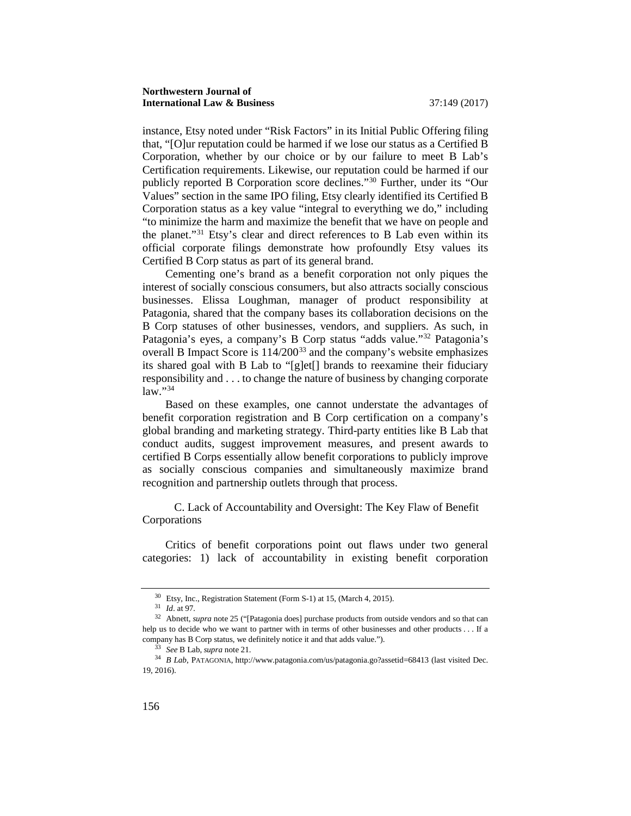instance, Etsy noted under "Risk Factors" in its Initial Public Offering filing that, "[O]ur reputation could be harmed if we lose our status as a Certified B Corporation, whether by our choice or by our failure to meet B Lab's Certification requirements. Likewise, our reputation could be harmed if our publicly reported B Corporation score declines.["30](#page-8-0) Further, under its "Our Values" section in the same IPO filing, Etsy clearly identified its Certified B Corporation status as a key value "integral to everything we do," including "to minimize the harm and maximize the benefit that we have on people and the planet."[31](#page-8-1) Etsy's clear and direct references to B Lab even within its official corporate filings demonstrate how profoundly Etsy values its Certified B Corp status as part of its general brand.

Cementing one's brand as a benefit corporation not only piques the interest of socially conscious consumers, but also attracts socially conscious businesses. Elissa Loughman, manager of product responsibility at Patagonia, shared that the company bases its collaboration decisions on the B Corp statuses of other businesses, vendors, and suppliers. As such, in Patagonia's eyes, a company's B Corp status "adds value."[32](#page-8-2) Patagonia's overall B Impact Score is 114/200[33](#page-8-3) and the company's website emphasizes its shared goal with B Lab to "[g]et[] brands to reexamine their fiduciary responsibility and . . . to change the nature of business by changing corporate  $\lim_{n \to \infty}$  . [34](#page-8-4)

Based on these examples, one cannot understate the advantages of benefit corporation registration and B Corp certification on a company's global branding and marketing strategy. Third-party entities like B Lab that conduct audits, suggest improvement measures, and present awards to certified B Corps essentially allow benefit corporations to publicly improve as socially conscious companies and simultaneously maximize brand recognition and partnership outlets through that process.

C. Lack of Accountability and Oversight: The Key Flaw of Benefit Corporations

Critics of benefit corporations point out flaws under two general categories: 1) lack of accountability in existing benefit corporation

<sup>30</sup> Etsy, Inc., Registration Statement (Form S-1) at 15, (March 4, 2015). 31 *Id*. at 97*.*

<span id="page-8-2"></span><span id="page-8-1"></span><span id="page-8-0"></span><sup>&</sup>lt;sup>32</sup> Abnett, *supra* note 25 ("[Patagonia does] purchase products from outside vendors and so that can help us to decide who we want to partner with in terms of other businesses and other products . . . If a company has B Corp status, we definitely notice it and that adds value."). 33 *See* B Lab, *supra* note 21.

<span id="page-8-4"></span><span id="page-8-3"></span><sup>34</sup> *B Lab*, PATAGONIA, http://www.patagonia.com/us/patagonia.go?assetid=68413 (last visited Dec. 19, 2016).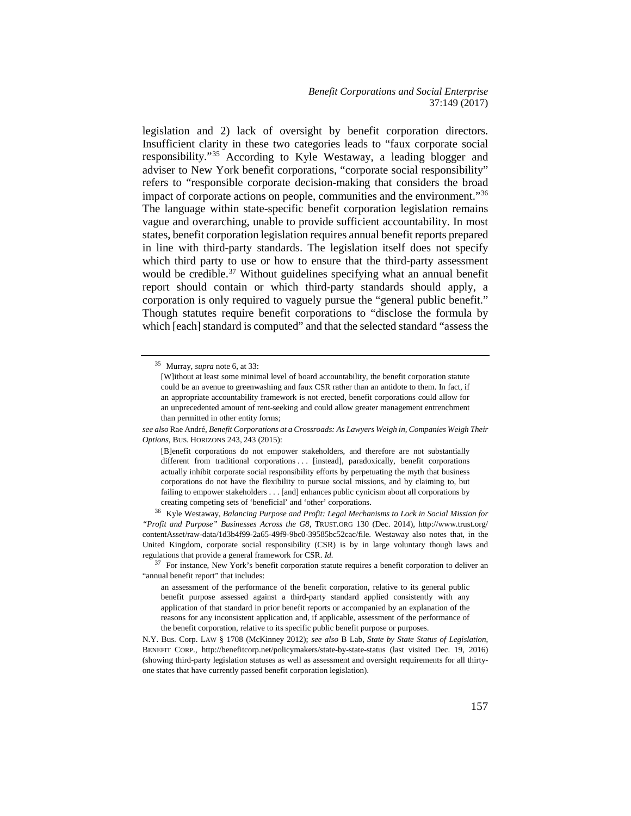legislation and 2) lack of oversight by benefit corporation directors. Insufficient clarity in these two categories leads to "faux corporate social responsibility."[35](#page-9-0) According to Kyle Westaway, a leading blogger and adviser to New York benefit corporations, "corporate social responsibility" refers to "responsible corporate decision-making that considers the broad impact of corporate actions on people, communities and the environment."[36](#page-9-1) The language within state-specific benefit corporation legislation remains vague and overarching, unable to provide sufficient accountability. In most states, benefit corporation legislation requires annual benefit reports prepared in line with third-party standards. The legislation itself does not specify which third party to use or how to ensure that the third-party assessment would be credible.<sup>[37](#page-9-2)</sup> Without guidelines specifying what an annual benefit report should contain or which third-party standards should apply, a corporation is only required to vaguely pursue the "general public benefit." Though statutes require benefit corporations to "disclose the formula by which [each] standard is computed" and that the selected standard "assess the

<span id="page-9-0"></span><sup>35</sup> Murray, *supra* note 6, at 33:

*see also* Rae André, *Benefit Corporations at a Crossroads: As Lawyers Weigh in, Companies Weigh Their Options*, BUS. HORIZONS 243, 243 (2015):

<span id="page-9-1"></span>creating competing sets of 'beneficial' and 'other' corporations. 36 Kyle Westaway, *Balancing Purpose and Profit: Legal Mechanisms to Lock in Social Mission for "Profit and Purpose" Businesses Across the G8*, TRUST.ORG 130 (Dec. 2014), http://www.trust.org/ contentAsset/raw-data/1d3b4f99-2a65-49f9-9bc0-39585bc52cac/file. Westaway also notes that, in the United Kingdom, corporate social responsibility (CSR) is by in large voluntary though laws and regulations that provide a general framework for CSR. *Id.* 

<span id="page-9-2"></span><sup>37</sup> For instance, New York's benefit corporation statute requires a benefit corporation to deliver an "annual benefit report" that includes:

N.Y. Bus. Corp. LAW § 1708 (McKinney 2012); *see also* B Lab, *State by State Status of Legislation*, BENEFIT CORP., http://benefitcorp.net/policymakers/state-by-state-status (last visited Dec. 19, 2016) (showing third-party legislation statuses as well as assessment and oversight requirements for all thirtyone states that have currently passed benefit corporation legislation).

<sup>[</sup>W]ithout at least some minimal level of board accountability, the benefit corporation statute could be an avenue to greenwashing and faux CSR rather than an antidote to them. In fact, if an appropriate accountability framework is not erected, benefit corporations could allow for an unprecedented amount of rent-seeking and could allow greater management entrenchment than permitted in other entity forms;

<sup>[</sup>B]enefit corporations do not empower stakeholders, and therefore are not substantially different from traditional corporations . . . [instead], paradoxically, benefit corporations actually inhibit corporate social responsibility efforts by perpetuating the myth that business corporations do not have the flexibility to pursue social missions, and by claiming to, but failing to empower stakeholders . . . [and] enhances public cynicism about all corporations by

an assessment of the performance of the benefit corporation, relative to its general public benefit purpose assessed against a third-party standard applied consistently with any application of that standard in prior benefit reports or accompanied by an explanation of the reasons for any inconsistent application and, if applicable, assessment of the performance of the benefit corporation, relative to its specific public benefit purpose or purposes.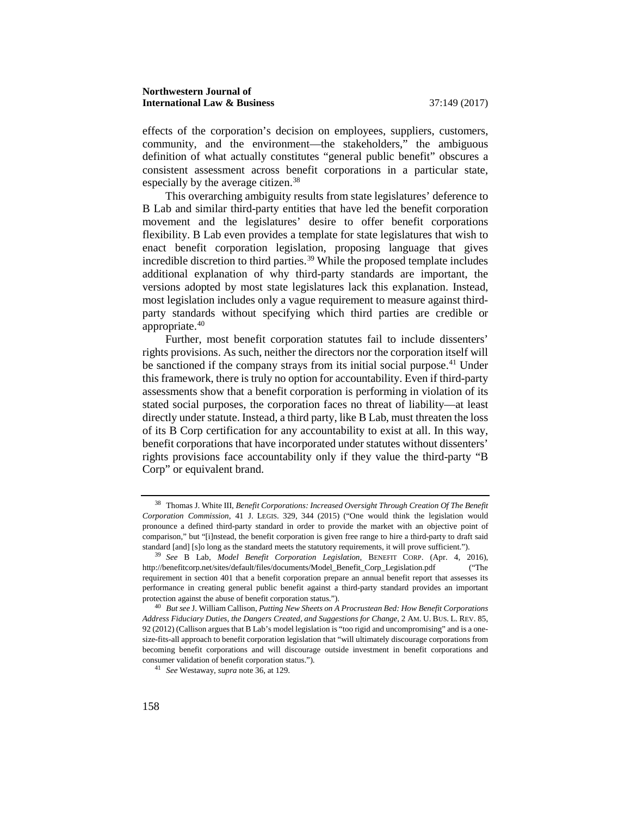effects of the corporation's decision on employees, suppliers, customers, community, and the environment—the stakeholders," the ambiguous definition of what actually constitutes "general public benefit" obscures a consistent assessment across benefit corporations in a particular state, especially by the average citizen.<sup>38</sup>

This overarching ambiguity results from state legislatures' deference to B Lab and similar third-party entities that have led the benefit corporation movement and the legislatures' desire to offer benefit corporations flexibility. B Lab even provides a template for state legislatures that wish to enact benefit corporation legislation, proposing language that gives incredible discretion to third parties.[39](#page-10-1) While the proposed template includes additional explanation of why third-party standards are important, the versions adopted by most state legislatures lack this explanation. Instead, most legislation includes only a vague requirement to measure against thirdparty standards without specifying which third parties are credible or appropriate.[40](#page-10-2)

Further, most benefit corporation statutes fail to include dissenters' rights provisions. As such, neither the directors nor the corporation itself will be sanctioned if the company strays from its initial social purpose.<sup>[41](#page-10-3)</sup> Under this framework, there is truly no option for accountability. Even if third-party assessments show that a benefit corporation is performing in violation of its stated social purposes, the corporation faces no threat of liability—at least directly under statute. Instead, a third party, like B Lab, must threaten the loss of its B Corp certification for any accountability to exist at all. In this way, benefit corporations that have incorporated under statutes without dissenters' rights provisions face accountability only if they value the third-party "B Corp" or equivalent brand.

<span id="page-10-0"></span><sup>38</sup> Thomas J. White III, *Benefit Corporations: Increased Oversight Through Creation Of The Benefit Corporation Commission*, 41 J. LEGIS. 329, 344 (2015) ("One would think the legislation would pronounce a defined third-party standard in order to provide the market with an objective point of comparison," but "[i]nstead, the benefit corporation is given free range to hire a third-party to draft said standard [and] [s]o long as the standard meets the statutory requirements, it will prove sufficient."). 39 *See* B Lab, *Model Benefit Corporation Legislation*, BENEFIT CORP. (Apr. 4, 2016),

<span id="page-10-1"></span>http://benefitcorp.net/sites/default/files/documents/Model\_Benefit\_Corp\_Legislation.pdf ("The requirement in section 401 that a benefit corporation prepare an annual benefit report that assesses its performance in creating general public benefit against a third-party standard provides an important protection against the abuse of benefit corporation status.").

<span id="page-10-3"></span><span id="page-10-2"></span><sup>40</sup> *But see* J. William Callison, *Putting New Sheets on A Procrustean Bed: How Benefit Corporations Address Fiduciary Duties, the Dangers Created, and Suggestions for Change*, 2 AM. U. BUS. L. REV. 85, 92 (2012) (Callison argues that B Lab's model legislation is "too rigid and uncompromising" and is a onesize-fits-all approach to benefit corporation legislation that "will ultimately discourage corporations from becoming benefit corporations and will discourage outside investment in benefit corporations and consumer validation of benefit corporation status."). 41 *See* Westaway, *supra* note 36, at 129.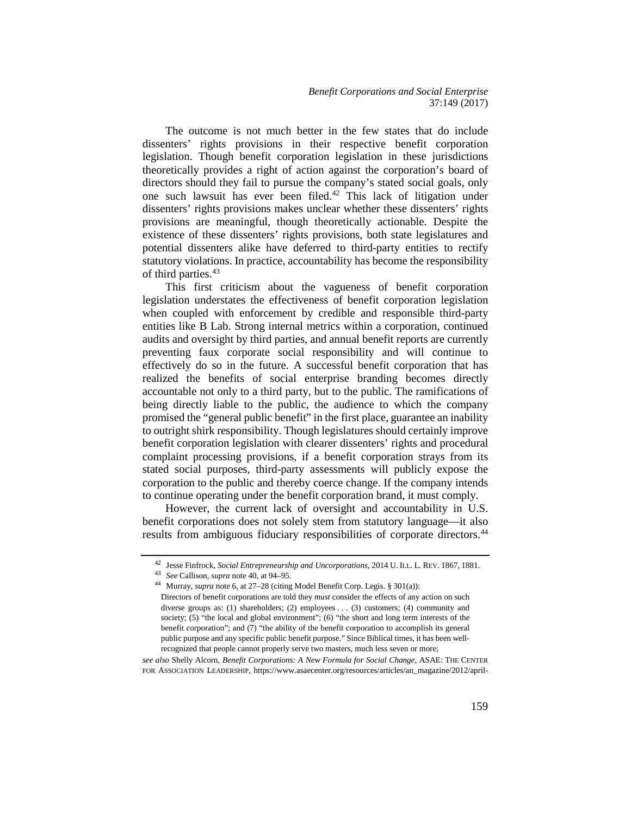The outcome is not much better in the few states that do include dissenters' rights provisions in their respective benefit corporation legislation. Though benefit corporation legislation in these jurisdictions theoretically provides a right of action against the corporation's board of directors should they fail to pursue the company's stated social goals, only one such lawsuit has ever been filed.[42](#page-11-0) This lack of litigation under dissenters' rights provisions makes unclear whether these dissenters' rights provisions are meaningful, though theoretically actionable. Despite the existence of these dissenters' rights provisions, both state legislatures and potential dissenters alike have deferred to third-party entities to rectify statutory violations. In practice, accountability has become the responsibility of third parties.<sup>[43](#page-11-1)</sup>

This first criticism about the vagueness of benefit corporation legislation understates the effectiveness of benefit corporation legislation when coupled with enforcement by credible and responsible third-party entities like B Lab. Strong internal metrics within a corporation, continued audits and oversight by third parties, and annual benefit reports are currently preventing faux corporate social responsibility and will continue to effectively do so in the future. A successful benefit corporation that has realized the benefits of social enterprise branding becomes directly accountable not only to a third party, but to the public. The ramifications of being directly liable to the public, the audience to which the company promised the "general public benefit" in the first place, guarantee an inability to outright shirk responsibility. Though legislatures should certainly improve benefit corporation legislation with clearer dissenters' rights and procedural complaint processing provisions, if a benefit corporation strays from its stated social purposes, third-party assessments will publicly expose the corporation to the public and thereby coerce change. If the company intends to continue operating under the benefit corporation brand, it must comply.

<span id="page-11-0"></span>However, the current lack of oversight and accountability in U.S. benefit corporations does not solely stem from statutory language—it also results from ambiguous fiduciary responsibilities of corporate directors.<sup>[44](#page-11-2)</sup>

*see also* Shelly Alcorn, *Benefit Corporations: A New Formula for Social Change*, ASAE: THE CENTER FOR ASSOCIATION LEADERSHIP, [https://www.asaecenter.org/resources/articles/an\\_magazine/2012/april-](https://www.asaecenter.org/resources/articles/an_magazine/2012/april-may/benefit-corporations-a-new-formula-for-social-change)

<span id="page-11-1"></span><sup>42</sup> Jesse Finfrock, *Social Entrepreneurship and Uncorporations*, 2014 U. ILL. L. REV. 1867, 1881.

<span id="page-11-2"></span><sup>&</sup>lt;sup>44</sup> Murray, *supra* note 6, at 27–28 (citing Model Benefit Corp. Legis. § 301(a)): Directors of benefit corporations are told they *must* consider the effects of any action on such diverse groups as: (1) shareholders; (2) employees . . . (3) customers; (4) community and society; (5) "the local and global environment"; (6) "the short and long term interests of the benefit corporation"; and (7) "the ability of the benefit corporation to accomplish its general public purpose and any specific public benefit purpose." Since Biblical times, it has been wellrecognized that people cannot properly serve two masters, much less seven or more;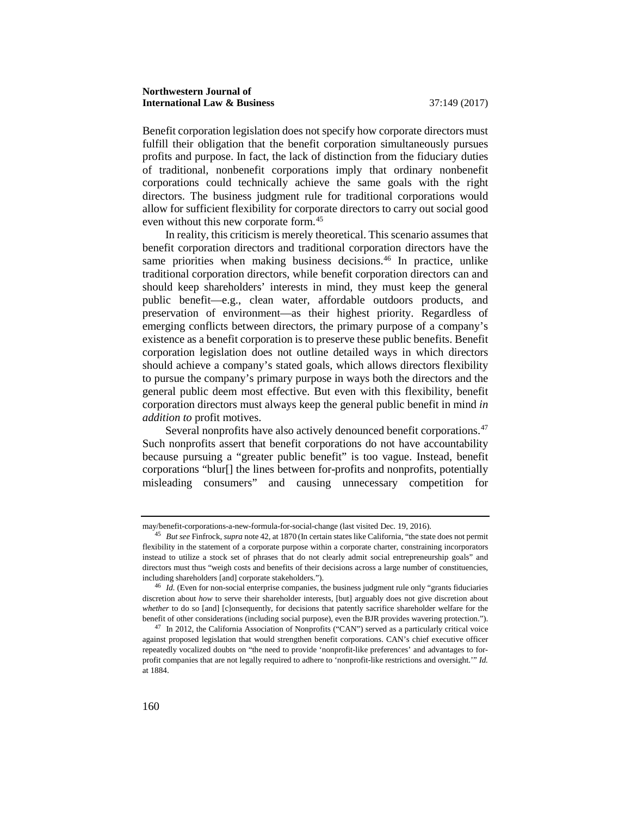Benefit corporation legislation does not specify how corporate directors must fulfill their obligation that the benefit corporation simultaneously pursues profits and purpose. In fact, the lack of distinction from the fiduciary duties of traditional, nonbenefit corporations imply that ordinary nonbenefit corporations could technically achieve the same goals with the right directors. The business judgment rule for traditional corporations would allow for sufficient flexibility for corporate directors to carry out social good even without this new corporate form.<sup>[45](#page-12-0)</sup>

In reality, this criticism is merely theoretical. This scenario assumes that benefit corporation directors and traditional corporation directors have the same priorities when making business decisions.<sup>46</sup> In practice, unlike traditional corporation directors, while benefit corporation directors can and should keep shareholders' interests in mind, they must keep the general public benefit—e.g., clean water, affordable outdoors products, and preservation of environment—as their highest priority. Regardless of emerging conflicts between directors, the primary purpose of a company's existence as a benefit corporation is to preserve these public benefits. Benefit corporation legislation does not outline detailed ways in which directors should achieve a company's stated goals, which allows directors flexibility to pursue the company's primary purpose in ways both the directors and the general public deem most effective. But even with this flexibility, benefit corporation directors must always keep the general public benefit in mind *in addition to* profit motives.

Several nonprofits have also actively denounced benefit corporations.<sup>[47](#page-12-2)</sup> Such nonprofits assert that benefit corporations do not have accountability because pursuing a "greater public benefit" is too vague. Instead, benefit corporations "blur[] the lines between for-profits and nonprofits, potentially misleading consumers" and causing unnecessary competition for

[may/benefit-corporations-a-new-formula-for-social-change](https://www.asaecenter.org/resources/articles/an_magazine/2012/april-may/benefit-corporations-a-new-formula-for-social-change) (last visited Dec. 19, 2016).

<span id="page-12-0"></span><sup>45</sup> *But see* Finfrock, *supra* note 42, at 1870 (In certain states like California, "the state does not permit flexibility in the statement of a corporate purpose within a corporate charter, constraining incorporators instead to utilize a stock set of phrases that do not clearly admit social entrepreneurship goals" and directors must thus "weigh costs and benefits of their decisions across a large number of constituencies, including shareholders [and] corporate stakeholders.").

<span id="page-12-1"></span><sup>&</sup>lt;sup>46</sup> *Id.* (Even for non-social enterprise companies, the business judgment rule only "grants fiduciaries discretion about *how* to serve their shareholder interests, [but] arguably does not give discretion about *whether* to do so [and] [c]onsequently, for decisions that patently sacrifice shareholder welfare for the benefit of other considerations (including social purpose), even the BJR provides wavering protection.").

<span id="page-12-2"></span><sup>&</sup>lt;sup>47</sup> In 2012, the California Association of Nonprofits ("CAN") served as a particularly critical voice against proposed legislation that would strengthen benefit corporations. CAN's chief executive officer repeatedly vocalized doubts on "the need to provide 'nonprofit-like preferences' and advantages to forprofit companies that are not legally required to adhere to 'nonprofit-like restrictions and oversight.'" *Id.* at 1884.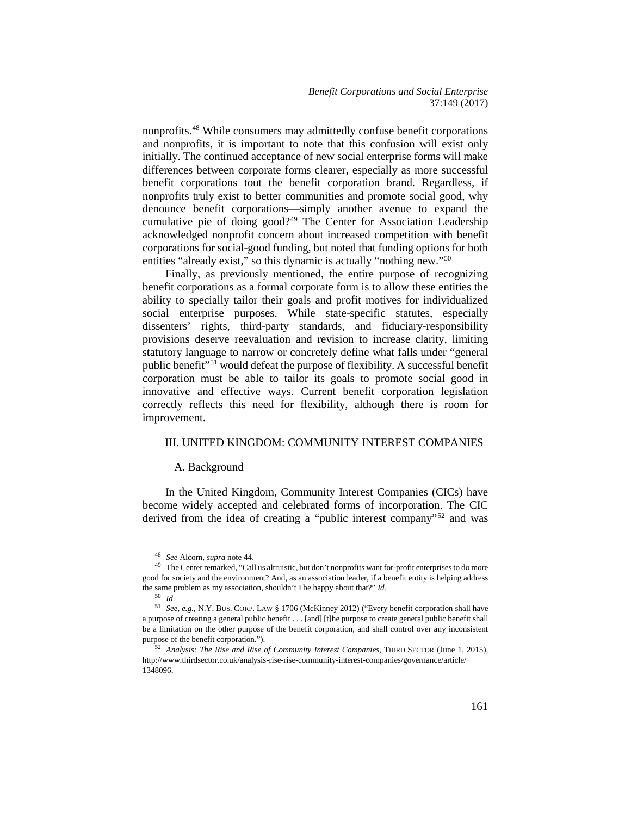*Benefit Corporations and Social Enterprise* 37:149 (2017)

nonprofits.[48](#page-13-0) While consumers may admittedly confuse benefit corporations and nonprofits, it is important to note that this confusion will exist only initially. The continued acceptance of new social enterprise forms will make differences between corporate forms clearer, especially as more successful benefit corporations tout the benefit corporation brand. Regardless, if nonprofits truly exist to better communities and promote social good, why denounce benefit corporations—simply another avenue to expand the cumulative pie of doing good?<sup>[49](#page-13-1)</sup> The Center for Association Leadership acknowledged nonprofit concern about increased competition with benefit corporations for social-good funding, but noted that funding options for both entities "already exist," so this dynamic is actually "nothing new."<sup>[50](#page-13-2)</sup>

Finally, as previously mentioned, the entire purpose of recognizing benefit corporations as a formal corporate form is to allow these entities the ability to specially tailor their goals and profit motives for individualized social enterprise purposes. While state-specific statutes, especially dissenters' rights, third-party standards, and fiduciary-responsibility provisions deserve reevaluation and revision to increase clarity, limiting statutory language to narrow or concretely define what falls under "general public benefit"[51](#page-13-3) would defeat the purpose of flexibility. A successful benefit corporation must be able to tailor its goals to promote social good in innovative and effective ways. Current benefit corporation legislation correctly reflects this need for flexibility, although there is room for improvement.

#### III. UNITED KINGDOM: COMMUNITY INTEREST COMPANIES

#### A. Background

In the United Kingdom, Community Interest Companies (CICs) have become widely accepted and celebrated forms of incorporation. The CIC derived from the idea of creating a "public interest company"[52](#page-13-4) and was

<sup>48</sup> *See* Alcorn, *supra* note 44.

<span id="page-13-1"></span><span id="page-13-0"></span><sup>&</sup>lt;sup>49</sup> The Center remarked, "Call us altruistic, but don't nonprofits want for-profit enterprises to do more good for society and the environment? And, as an association leader, if a benefit entity is helping address the same problem as my association, shouldn't I be happy about that?" *Id.*

<sup>50</sup> *Id.*

<span id="page-13-3"></span><span id="page-13-2"></span><sup>51</sup> *See, e.g.*, N.Y. BUS. CORP. LAW § 1706 (McKinney 2012) ("Every benefit corporation shall have a purpose of creating a general public benefit . . . [and] [t]he purpose to create general public benefit shall be a limitation on the other purpose of the benefit corporation, and shall control over any inconsistent purpose of the benefit corporation.").

<span id="page-13-4"></span><sup>52</sup> *Analysis: The Rise and Rise of Community Interest Companies*, THIRD SECTOR (June 1, 2015), http://www.thirdsector.co.uk/analysis-rise-rise-community-interest-companies/governance/article/ 1348096.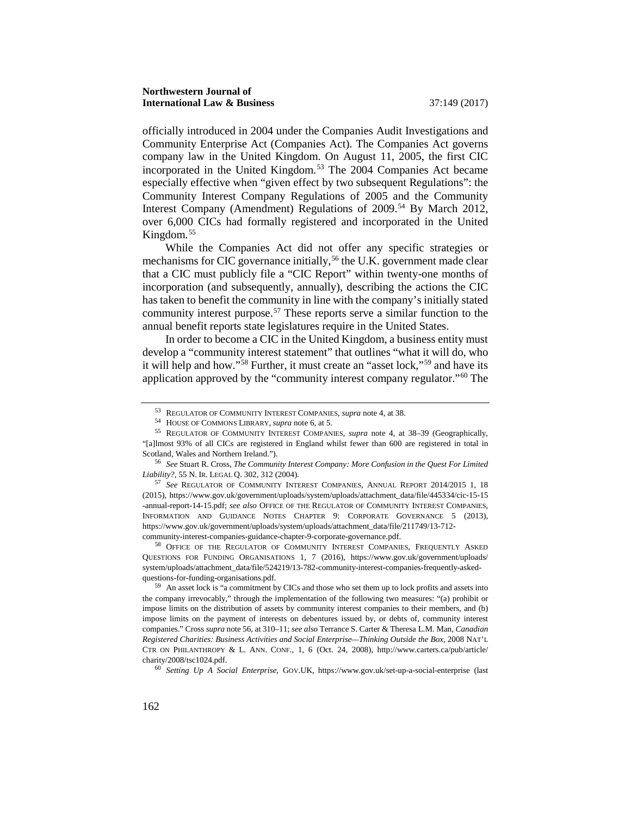officially introduced in 2004 under the Companies Audit Investigations and Community Enterprise Act (Companies Act). The Companies Act governs company law in the United Kingdom. On August 11, 2005, the first CIC incorporated in the United Kingdom.[53](#page-14-0) The 2004 Companies Act became especially effective when "given effect by two subsequent Regulations": the Community Interest Company Regulations of 2005 and the Community Interest Company (Amendment) Regulations of 2009.<sup>[54](#page-14-1)</sup> By March 2012, over 6,000 CICs had formally registered and incorporated in the United Kingdom.[55](#page-14-2)

While the Companies Act did not offer any specific strategies or mechanisms for CIC governance initially,<sup>[56](#page-14-3)</sup> the U.K. government made clear that a CIC must publicly file a "CIC Report" within twenty-one months of incorporation (and subsequently, annually), describing the actions the CIC has taken to benefit the community in line with the company's initially stated community interest purpose.[57](#page-14-4) These reports serve a similar function to the annual benefit reports state legislatures require in the United States.

In order to become a CIC in the United Kingdom, a business entity must develop a "community interest statement" that outlines "what it will do, who it will help and how."[58](#page-14-5) Further, it must create an "asset lock,"[59](#page-14-6) and have its application approved by the "community interest company regulator."[60](#page-14-7) The

<span id="page-14-5"></span>58 OFFICE OF THE REGULATOR OF COMMUNITY INTEREST COMPANIES, FREQUENTLY ASKED QUESTIONS FOR FUNDING ORGANISATIONS 1, 7 (2016), https://www.gov.uk/government/uploads/ system/uploads/attachment\_data/file/524219/13-782-community-interest-companies-frequently-asked-

<span id="page-14-6"></span> $59$  An asset lock is "a commitment by CICs and those who set them up to lock profits and assets into the company irrevocably," through the implementation of the following two measures: "(a) prohibit or impose limits on the distribution of assets by community interest companies to their members, and (b) impose limits on the payment of interests on debentures issued by, or debts of, community interest companies." Cross *supra* note 56, at 310–11; *see also* Terrance S. Carter & Theresa L.M. Man, *Canadian Registered Charities: Business Activities and Social Enterprise—Thinking Outside the Box*, 2008 NAT'L CTR ON PHILANTHROPY & L. ANN. CONF., 1, 6 (Oct. 24, 2008), http://www.carters.ca/pub/article/ charity/2008/tsc1024.pdf. 60 *Setting Up A Social Enterprise*, GOV.UK, https://www.gov.uk/set-up-a-social-enterprise (last

<span id="page-14-7"></span>

<sup>53</sup> REGULATOR OF COMMUNITY INTEREST COMPANIES, *supra* note 4, at 38.

<sup>54</sup> HOUSE OF COMMONS LIBRARY, *supra* note 6, at 5.

<span id="page-14-2"></span><span id="page-14-1"></span><span id="page-14-0"></span><sup>55</sup> REGULATOR OF COMMUNITY INTEREST COMPANIES, *supra* note 4, at 38–39 (Geographically, "[a]lmost 93% of all CICs are registered in England whilst fewer than 600 are registered in total in Scotland, Wales and Northern Ireland.").

<span id="page-14-3"></span><sup>56</sup> *See* Stuart R. Cross, *The Community Interest Company: More Confusion in the Quest For Limited Liability?*, 55 N. IR. LEGAL Q. 302, 312 (2004).

<span id="page-14-4"></span><sup>57</sup> *See* REGULATOR OF COMMUNITY INTEREST COMPANIES, ANNUAL REPORT 2014/2015 1, 18 (2015), https://www.gov.uk/government/uploads/system/uploads/attachment\_data/file/445334/cic-15-15 -annual-report-14-15.pdf; *see also* OFFICE OF THE REGULATOR OF COMMUNITY INTEREST COMPANIES, INFORMATION AND GUIDANCE NOTES CHAPTER 9: CORPORATE GOVERNANCE 5 (2013), https://www.gov.uk/government/uploads/system/uploads/attachment\_data/file/211749/13-712 community-interest-companies-guidance-chapter-9-corporate-governance.pdf.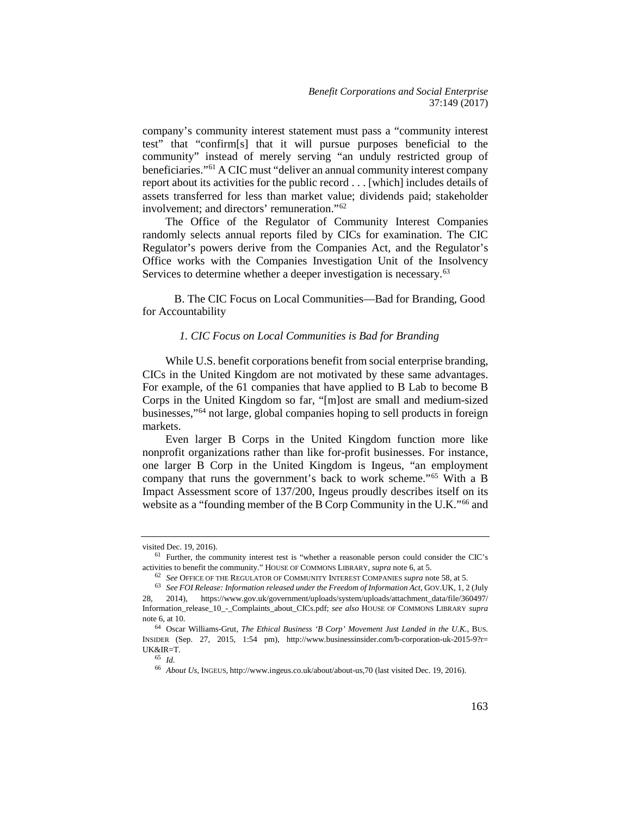company's community interest statement must pass a "community interest test" that "confirm[s] that it will pursue purposes beneficial to the community" instead of merely serving "an unduly restricted group of beneficiaries."[61](#page-15-0) A CIC must "deliver an annual community interest company report about its activities for the public record . . . [which] includes details of assets transferred for less than market value; dividends paid; stakeholder involvement; and directors' remuneration."[62](#page-15-1)

The Office of the Regulator of Community Interest Companies randomly selects annual reports filed by CICs for examination. The CIC Regulator's powers derive from the Companies Act, and the Regulator's Office works with the Companies Investigation Unit of the Insolvency Services to determine whether a deeper investigation is necessary.<sup>[63](#page-15-2)</sup>

B. The CIC Focus on Local Communities—Bad for Branding, Good for Accountability

#### *1. CIC Focus on Local Communities is Bad for Branding*

While U.S. benefit corporations benefit from social enterprise branding, CICs in the United Kingdom are not motivated by these same advantages. For example, of the 61 companies that have applied to B Lab to become B Corps in the United Kingdom so far, "[m]ost are small and medium-sized businesses,"[64](#page-15-3) not large, global companies hoping to sell products in foreign markets.

Even larger B Corps in the United Kingdom function more like nonprofit organizations rather than like for-profit businesses. For instance, one larger B Corp in the United Kingdom is Ingeus, "an employment company that runs the government's back to work scheme."[65](#page-15-4) With a B Impact Assessment score of 137/200, Ingeus proudly describes itself on its website as a "founding member of the B Corp Community in the U.K."<sup>66</sup> and

<span id="page-15-0"></span>visited Dec. 19, 2016). 61 Further, the community interest test is "whether a reasonable person could consider the CIC's activities to benefit the community." HOUSE OF COMMONS LIBRARY, *supra* note 6, at 5.

<span id="page-15-2"></span><span id="page-15-1"></span><sup>&</sup>lt;sup>63</sup> See FOI Release: Information released under the Freedom of Information Act, GOV.UK, 1, 2 (July 28, 2014), https://www.gov.uk/government/uploads/system/uploads/attachment\_data/file/360497/ Information\_release\_10\_-\_Complaints\_about\_CICs.pdf; *see also* HOUSE OF COMMONS LIBRARY *supra*

<span id="page-15-5"></span><span id="page-15-4"></span><span id="page-15-3"></span>note 6, at 10. 64 Oscar Williams-Grut, *The Ethical Business 'B Corp' Movement Just Landed in the U.K.*, BUS. INSIDER (Sep. 27, 2015, 1:54 pm), http://www.businessinsider.com/b-corporation-uk-2015-9?r= UK&IR=T. 65 *Id.*

<sup>66</sup> *About Us*, INGEUS, http://www.ingeus.co.uk/about/about-us,70 (last visited Dec. 19, 2016).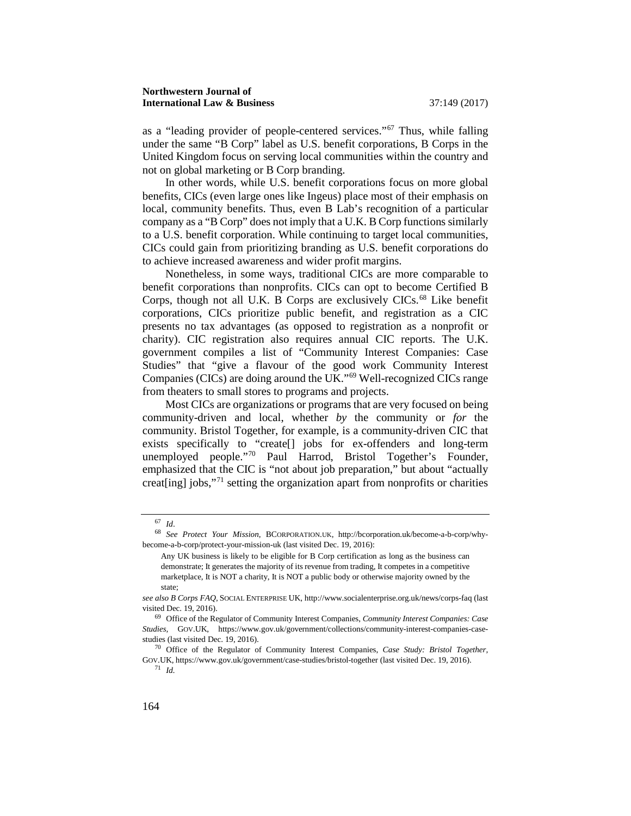as a "leading provider of people-centered services."[67](#page-16-0) Thus, while falling under the same "B Corp" label as U.S. benefit corporations, B Corps in the United Kingdom focus on serving local communities within the country and not on global marketing or B Corp branding.

In other words, while U.S. benefit corporations focus on more global benefits, CICs (even large ones like Ingeus) place most of their emphasis on local, community benefits. Thus, even B Lab's recognition of a particular company as a "B Corp" does not imply that a U.K. B Corp functions similarly to a U.S. benefit corporation. While continuing to target local communities, CICs could gain from prioritizing branding as U.S. benefit corporations do to achieve increased awareness and wider profit margins.

Nonetheless, in some ways, traditional CICs are more comparable to benefit corporations than nonprofits. CICs can opt to become Certified B Corps, though not all U.K. B Corps are exclusively CICs.<sup>[68](#page-16-1)</sup> Like benefit corporations, CICs prioritize public benefit, and registration as a CIC presents no tax advantages (as opposed to registration as a nonprofit or charity). CIC registration also requires annual CIC reports. The U.K. government compiles a list of "Community Interest Companies: Case Studies" that "give a flavour of the good work Community Interest Companies (CICs) are doing around the UK."[69](#page-16-2) Well-recognized CICs range from theaters to small stores to programs and projects.

Most CICs are organizations or programs that are very focused on being community-driven and local, whether *by* the community or *for* the community. Bristol Together, for example, is a community-driven CIC that exists specifically to "create[] jobs for ex-offenders and long-term unemployed people."[70](#page-16-3) Paul Harrod, Bristol Together's Founder, emphasized that the CIC is "not about job preparation," but about "actually creat[ing] jobs,"[71](#page-16-4) setting the organization apart from nonprofits or charities

<sup>67</sup> *Id*.

<span id="page-16-1"></span><span id="page-16-0"></span><sup>68</sup> *See Protect Your Mission*, BCORPORATION.UK, http://bcorporation.uk/become-a-b-corp/whybecome-a-b-corp/protect-your-mission-uk (last visited Dec. 19, 2016):

Any UK business is likely to be eligible for B Corp certification as long as the business can demonstrate; It generates the majority of its revenue from trading, It competes in a competitive marketplace, It is NOT a charity, It is NOT a public body or otherwise majority owned by the state;

*see also B Corps FAQ*, SOCIAL ENTERPRISE UK, http://www.socialenterprise.org.uk/news/corps-faq (last visited Dec. 19, 2016). 69 Office of the Regulator of Community Interest Companies, *Community Interest Companies: Case* 

<span id="page-16-2"></span>*Studies,* GOV.UK, https://www.gov.uk/government/collections/community-interest-companies-casestudies (last visited Dec. 19, 2016). 70 Office of the Regulator of Community Interest Companies, *Case Study: Bristol Together,*

<span id="page-16-4"></span><span id="page-16-3"></span>GOV.UK, https://www.gov.uk/government/case-studies/bristol-together (last visited Dec. 19, 2016).  $71$  *Id.*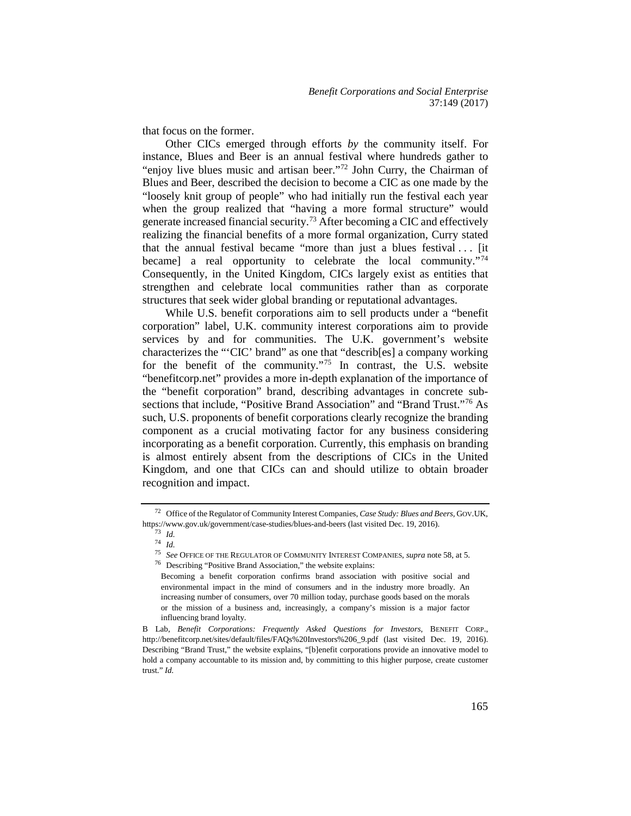that focus on the former.

Other CICs emerged through efforts *by* the community itself. For instance, Blues and Beer is an annual festival where hundreds gather to "enjoy live blues music and artisan beer."<sup>[72](#page-17-0)</sup> John Curry, the Chairman of Blues and Beer, described the decision to become a CIC as one made by the "loosely knit group of people" who had initially run the festival each year when the group realized that "having a more formal structure" would generate increased financial security.[73](#page-17-1) After becoming a CIC and effectively realizing the financial benefits of a more formal organization, Curry stated that the annual festival became "more than just a blues festival  $\ldots$  [it] became] a real opportunity to celebrate the local community."<sup>[74](#page-17-2)</sup> Consequently, in the United Kingdom, CICs largely exist as entities that strengthen and celebrate local communities rather than as corporate structures that seek wider global branding or reputational advantages.

While U.S. benefit corporations aim to sell products under a "benefit corporation" label, U.K. community interest corporations aim to provide services by and for communities. The U.K. government's website characterizes the "'CIC' brand" as one that "describ[es] a company working for the benefit of the community."[75](#page-17-3) In contrast, the U.S. website "benefitcorp.net" provides a more in-depth explanation of the importance of the "benefit corporation" brand, describing advantages in concrete subsections that include, "Positive Brand Association" and "Brand Trust."[76](#page-17-4) As such, U.S. proponents of benefit corporations clearly recognize the branding component as a crucial motivating factor for any business considering incorporating as a benefit corporation. Currently, this emphasis on branding is almost entirely absent from the descriptions of CICs in the United Kingdom, and one that CICs can and should utilize to obtain broader recognition and impact.

<span id="page-17-4"></span><span id="page-17-3"></span><span id="page-17-2"></span><span id="page-17-1"></span><span id="page-17-0"></span><sup>72</sup> Office of the Regulator of Community Interest Companies, *Case Study: Blues and Beers,* GOV.UK, https://www.gov.uk/government/case-studies/blues-and-beers (last visited Dec. 19, 2016).

<sup>73</sup> *Id.* <sup>74</sup> *Id.*

<sup>75</sup> *See* OFFICE OF THE REGULATOR OF COMMUNITY INTEREST COMPANIES, *supra* note 58, at 5.

<sup>76</sup> Describing "Positive Brand Association," the website explains:

Becoming a benefit corporation confirms brand association with positive social and environmental impact in the mind of consumers and in the industry more broadly. An increasing number of consumers, over 70 million today, purchase goods based on the morals or the mission of a business and, increasingly, a company's mission is a major factor influencing brand loyalty.

B Lab, *Benefit Corporations: Frequently Asked Questions for Investors*, BENEFIT CORP., http://benefitcorp.net/sites/default/files/FAQs%20Investors%206\_9.pdf (last visited Dec. 19, 2016). Describing "Brand Trust," the website explains, "[b]enefit corporations provide an innovative model to hold a company accountable to its mission and, by committing to this higher purpose, create customer trust." *Id.*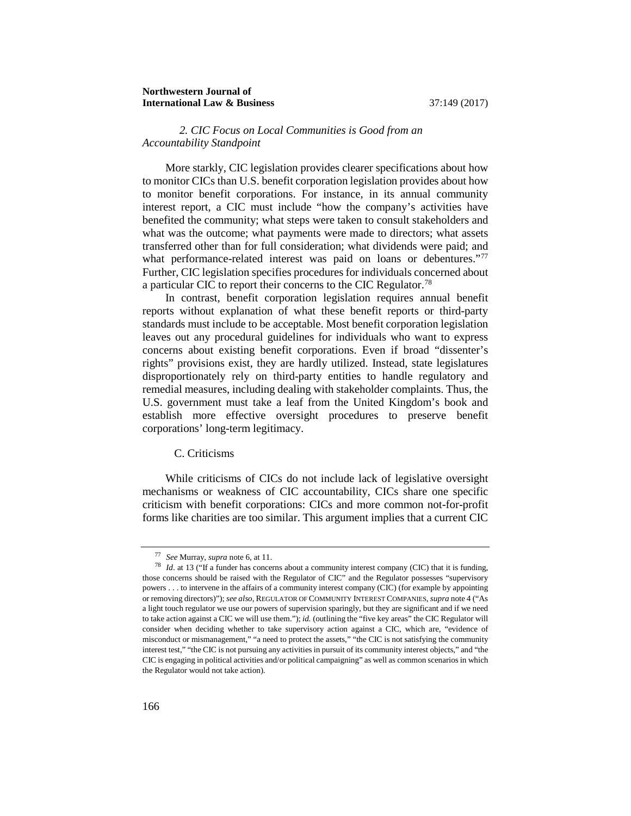#### *2. CIC Focus on Local Communities is Good from an Accountability Standpoint*

More starkly, CIC legislation provides clearer specifications about how to monitor CICs than U.S. benefit corporation legislation provides about how to monitor benefit corporations. For instance, in its annual community interest report, a CIC must include "how the company's activities have benefited the community; what steps were taken to consult stakeholders and what was the outcome; what payments were made to directors; what assets transferred other than for full consideration; what dividends were paid; and what performance-related interest was paid on loans or debentures."<sup>[77](#page-18-0)</sup> Further, CIC legislation specifies procedures for individuals concerned about a particular CIC to report their concerns to the CIC Regulator.[78](#page-18-1)

In contrast, benefit corporation legislation requires annual benefit reports without explanation of what these benefit reports or third-party standards must include to be acceptable. Most benefit corporation legislation leaves out any procedural guidelines for individuals who want to express concerns about existing benefit corporations. Even if broad "dissenter's rights" provisions exist, they are hardly utilized. Instead, state legislatures disproportionately rely on third-party entities to handle regulatory and remedial measures, including dealing with stakeholder complaints. Thus, the U.S. government must take a leaf from the United Kingdom's book and establish more effective oversight procedures to preserve benefit corporations' long-term legitimacy.

#### C. Criticisms

While criticisms of CICs do not include lack of legislative oversight mechanisms or weakness of CIC accountability, CICs share one specific criticism with benefit corporations: CICs and more common not-for-profit forms like charities are too similar. This argument implies that a current CIC

<span id="page-18-1"></span><span id="page-18-0"></span><sup>77</sup> *See* Murray, *supra* note 6, at 11. 78 *Id*. at 13 ("If a funder has concerns about a community interest company (CIC) that it is funding, those concerns should be raised with the Regulator of CIC" and the Regulator possesses "supervisory powers . . . to intervene in the affairs of a community interest company (CIC) (for example by appointing or removing directors)"); *see also*, REGULATOR OF COMMUNITY INTEREST COMPANIES, *supra* note 4 ("As a light touch regulator we use our powers of supervision sparingly, but they are significant and if we need to take action against a CIC we will use them."); *id.* (outlining the "five key areas" the CIC Regulator will consider when deciding whether to take supervisory action against a CIC, which are, "evidence of misconduct or mismanagement," "a need to protect the assets," "the CIC is not satisfying the community interest test," "the CIC is not pursuing any activities in pursuit of its community interest objects," and "the CIC is engaging in political activities and/or political campaigning" as well as common scenarios in which the Regulator would not take action).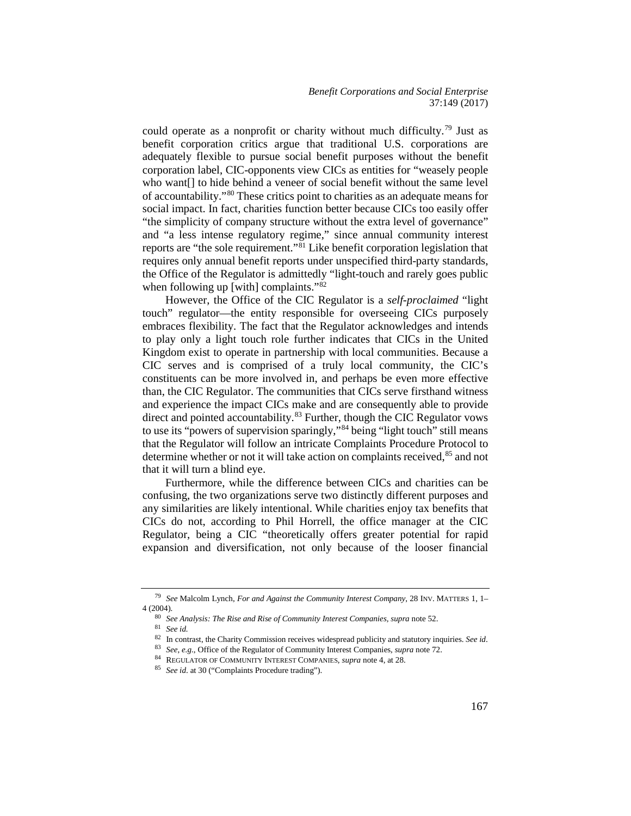could operate as a nonprofit or charity without much difficulty.[79](#page-19-0) Just as benefit corporation critics argue that traditional U.S. corporations are adequately flexible to pursue social benefit purposes without the benefit corporation label, CIC-opponents view CICs as entities for "weasely people who want[] to hide behind a veneer of social benefit without the same level of accountability."[80](#page-19-1) These critics point to charities as an adequate means for social impact. In fact, charities function better because CICs too easily offer "the simplicity of company structure without the extra level of governance" and "a less intense regulatory regime," since annual community interest reports are "the sole requirement."[81](#page-19-2) Like benefit corporation legislation that requires only annual benefit reports under unspecified third-party standards, the Office of the Regulator is admittedly "light-touch and rarely goes public when following up [with] complaints."<sup>[82](#page-19-3)</sup>

However, the Office of the CIC Regulator is a *self-proclaimed* "light touch" regulator—the entity responsible for overseeing CICs purposely embraces flexibility. The fact that the Regulator acknowledges and intends to play only a light touch role further indicates that CICs in the United Kingdom exist to operate in partnership with local communities. Because a CIC serves and is comprised of a truly local community, the CIC's constituents can be more involved in, and perhaps be even more effective than, the CIC Regulator. The communities that CICs serve firsthand witness and experience the impact CICs make and are consequently able to provide direct and pointed accountability.<sup>[83](#page-19-4)</sup> Further, though the CIC Regulator vows to use its "powers of supervision sparingly,"[84](#page-19-5) being "light touch" still means that the Regulator will follow an intricate Complaints Procedure Protocol to determine whether or not it will take action on complaints received, <sup>[85](#page-19-6)</sup> and not that it will turn a blind eye.

Furthermore, while the difference between CICs and charities can be confusing, the two organizations serve two distinctly different purposes and any similarities are likely intentional. While charities enjoy tax benefits that CICs do not, according to Phil Horrell, the office manager at the CIC Regulator, being a CIC "theoretically offers greater potential for rapid expansion and diversification, not only because of the looser financial

<span id="page-19-4"></span><span id="page-19-3"></span><span id="page-19-2"></span><span id="page-19-1"></span><span id="page-19-0"></span><sup>79</sup> *See* Malcolm Lynch, *For and Against the Community Interest Company*, 28 INV. MATTERS 1, 1– 4 (2004).

<sup>80</sup> *See Analysis: The Rise and Rise of Community Interest Companies, supra* note 52.

<sup>&</sup>lt;sup>81</sup> *See id.* **In contrast, the Charity Commission receives widespread publicity and statutory inquiries. See id. <b>Properties** 

<sup>&</sup>lt;sup>83</sup> *See, e.g.*, Office of the Regulator of Community Interest Companies, *supra* note 72.<br><sup>84</sup> REGULATOR OF COMMUNITY INTEREST COMPANIES, *supra* note 4, at 28.

<span id="page-19-6"></span><span id="page-19-5"></span>

<sup>85</sup> *See id*. at 30 ("Complaints Procedure trading").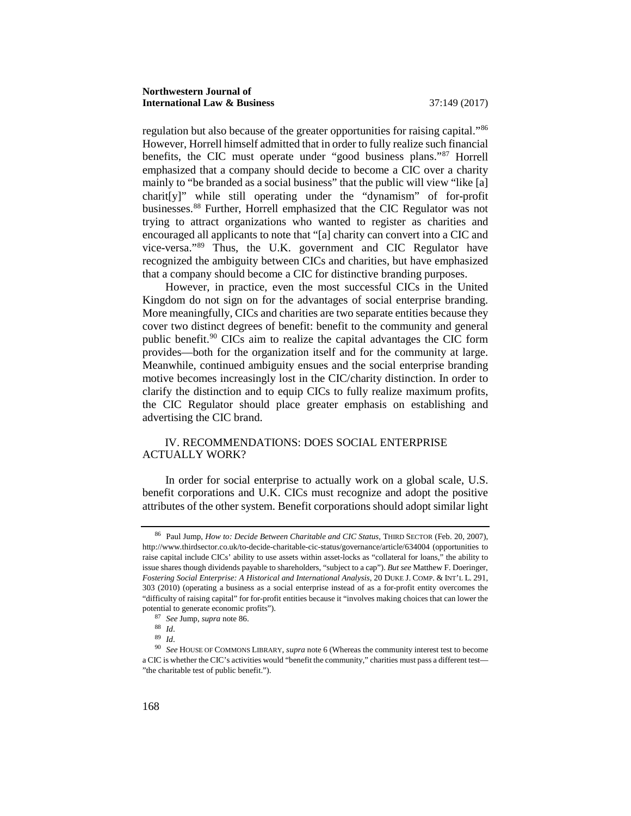regulation but also because of the greater opportunities for raising capital."[86](#page-20-0) However, Horrell himself admitted that in order to fully realize such financial benefits, the CIC must operate under "good business plans."[87](#page-20-1) Horrell emphasized that a company should decide to become a CIC over a charity mainly to "be branded as a social business" that the public will view "like [a] charit[y]" while still operating under the "dynamism" of for-profit businesses.[88](#page-20-2) Further, Horrell emphasized that the CIC Regulator was not trying to attract organizations who wanted to register as charities and encouraged all applicants to note that "[a] charity can convert into a CIC and vice-versa."[89](#page-20-3) Thus, the U.K. government and CIC Regulator have recognized the ambiguity between CICs and charities, but have emphasized that a company should become a CIC for distinctive branding purposes.

However, in practice, even the most successful CICs in the United Kingdom do not sign on for the advantages of social enterprise branding. More meaningfully, CICs and charities are two separate entities because they cover two distinct degrees of benefit: benefit to the community and general public benefit.[90](#page-20-4) CICs aim to realize the capital advantages the CIC form provides—both for the organization itself and for the community at large. Meanwhile, continued ambiguity ensues and the social enterprise branding motive becomes increasingly lost in the CIC/charity distinction. In order to clarify the distinction and to equip CICs to fully realize maximum profits, the CIC Regulator should place greater emphasis on establishing and advertising the CIC brand.

### IV. RECOMMENDATIONS: DOES SOCIAL ENTERPRISE ACTUALLY WORK?

In order for social enterprise to actually work on a global scale, U.S. benefit corporations and U.K. CICs must recognize and adopt the positive attributes of the other system. Benefit corporations should adopt similar light

<span id="page-20-0"></span><sup>86</sup> Paul Jump, *How to: Decide Between Charitable and CIC Status*, THIRD SECTOR (Feb. 20, 2007), http://www.thirdsector.co.uk/to-decide-charitable-cic-status/governance/article/634004 (opportunities to raise capital include CICs' ability to use assets within asset-locks as "collateral for loans," the ability to issue shares though dividends payable to shareholders, "subject to a cap"). *But see* Matthew F. Doeringer, *Fostering Social Enterprise: A Historical and International Analysis*, 20 DUKE J. COMP. & INT'L L. 291, 303 (2010) (operating a business as a social enterprise instead of as a for-profit entity overcomes the "difficulty of raising capital" for for-profit entities because it "involves making choices that can lower the potential to generate economic profits").

<sup>87</sup> *See* Jump, *supra* note 86.

<sup>88</sup> *Id*.

<sup>89</sup> *Id*.

<span id="page-20-4"></span><span id="page-20-3"></span><span id="page-20-2"></span><span id="page-20-1"></span><sup>90</sup> *See* HOUSE OF COMMONS LIBRARY, *supra* note 6 (Whereas the community interest test to become a CIC is whether the CIC's activities would "benefit the community," charities must pass a different test— "the charitable test of public benefit.").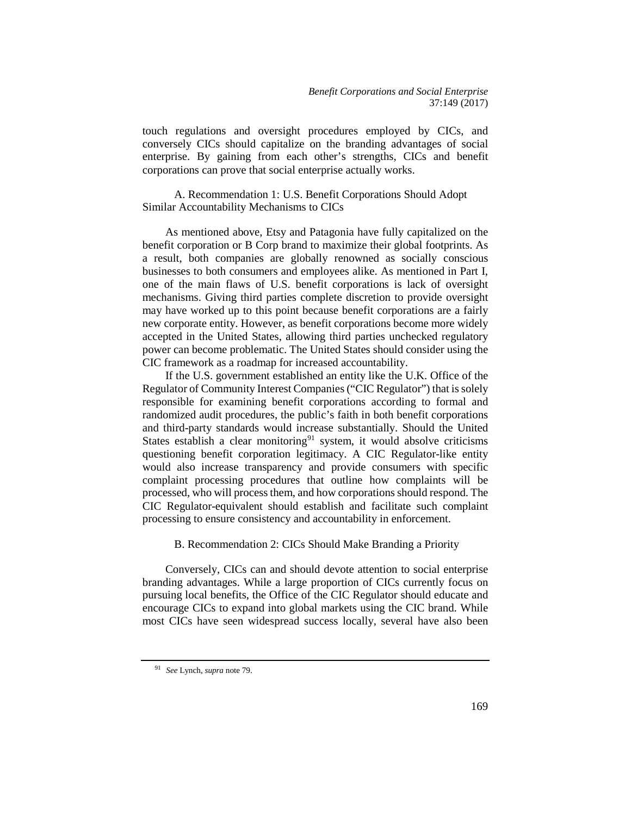touch regulations and oversight procedures employed by CICs, and conversely CICs should capitalize on the branding advantages of social enterprise. By gaining from each other's strengths, CICs and benefit corporations can prove that social enterprise actually works.

A. Recommendation 1: U.S. Benefit Corporations Should Adopt Similar Accountability Mechanisms to CICs

As mentioned above, Etsy and Patagonia have fully capitalized on the benefit corporation or B Corp brand to maximize their global footprints. As a result, both companies are globally renowned as socially conscious businesses to both consumers and employees alike. As mentioned in Part I, one of the main flaws of U.S. benefit corporations is lack of oversight mechanisms. Giving third parties complete discretion to provide oversight may have worked up to this point because benefit corporations are a fairly new corporate entity. However, as benefit corporations become more widely accepted in the United States, allowing third parties unchecked regulatory power can become problematic. The United States should consider using the CIC framework as a roadmap for increased accountability.

If the U.S. government established an entity like the U.K. Office of the Regulator of Community Interest Companies ("CIC Regulator") that is solely responsible for examining benefit corporations according to formal and randomized audit procedures, the public's faith in both benefit corporations and third-party standards would increase substantially. Should the United States establish a clear monitoring<sup>[91](#page-21-0)</sup> system, it would absolve criticisms questioning benefit corporation legitimacy. A CIC Regulator-like entity would also increase transparency and provide consumers with specific complaint processing procedures that outline how complaints will be processed, who will process them, and how corporations should respond. The CIC Regulator-equivalent should establish and facilitate such complaint processing to ensure consistency and accountability in enforcement.

#### B. Recommendation 2: CICs Should Make Branding a Priority

Conversely, CICs can and should devote attention to social enterprise branding advantages. While a large proportion of CICs currently focus on pursuing local benefits, the Office of the CIC Regulator should educate and encourage CICs to expand into global markets using the CIC brand. While most CICs have seen widespread success locally, several have also been

<span id="page-21-0"></span><sup>91</sup> *See* Lynch, *supra* note 79.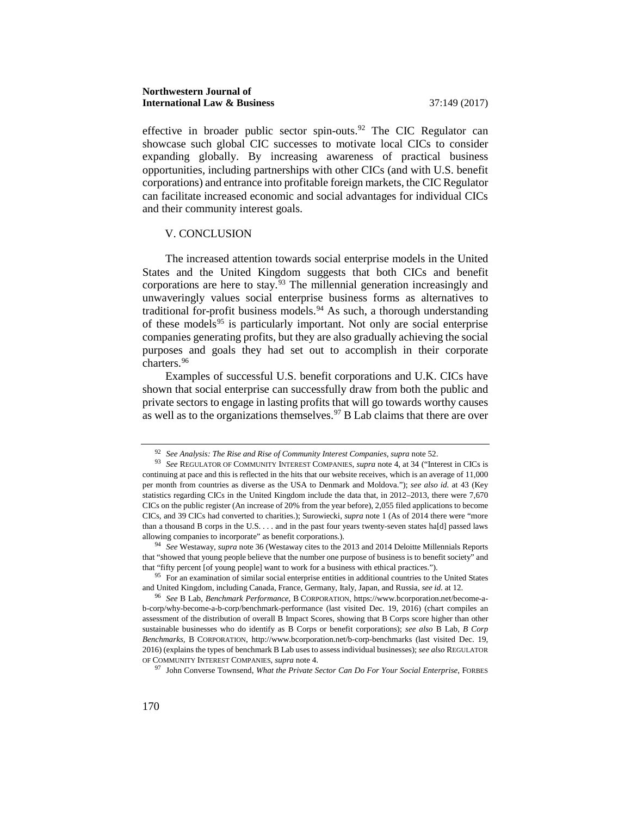effective in broader public sector spin-outs.<sup>[92](#page-22-0)</sup> The CIC Regulator can showcase such global CIC successes to motivate local CICs to consider expanding globally. By increasing awareness of practical business opportunities, including partnerships with other CICs (and with U.S. benefit corporations) and entrance into profitable foreign markets, the CIC Regulator can facilitate increased economic and social advantages for individual CICs and their community interest goals.

#### V. CONCLUSION

The increased attention towards social enterprise models in the United States and the United Kingdom suggests that both CICs and benefit corporations are here to stay. $93$  The millennial generation increasingly and unwaveringly values social enterprise business forms as alternatives to traditional for-profit business models.<sup>[94](#page-22-2)</sup> As such, a thorough understanding of these models<sup>[95](#page-22-3)</sup> is particularly important. Not only are social enterprise companies generating profits, but they are also gradually achieving the social purposes and goals they had set out to accomplish in their corporate charters.[96](#page-22-4)

Examples of successful U.S. benefit corporations and U.K. CICs have shown that social enterprise can successfully draw from both the public and private sectors to engage in lasting profits that will go towards worthy causes as well as to the organizations themselves.<sup>[97](#page-22-5)</sup> B Lab claims that there are over

<sup>92</sup> *See Analysis: The Rise and Rise of Community Interest Companies, supra* note 52.

<span id="page-22-1"></span><span id="page-22-0"></span><sup>93</sup> *See* REGULATOR OF COMMUNITY INTEREST COMPANIES, *supra* note 4, at 34 ("Interest in CICs is continuing at pace and this is reflected in the hits that our website receives, which is an average of 11,000 per month from countries as diverse as the USA to Denmark and Moldova."); *see also id.* at 43 (Key statistics regarding CICs in the United Kingdom include the data that, in 2012–2013, there were 7,670 CICs on the public register (An increase of 20% from the year before), 2,055 filed applications to become CICs, and 39 CICs had converted to charities.); Surowiecki, *supra* note 1 (As of 2014 there were "more than a thousand B corps in the U.S. . . . and in the past four years twenty-seven states ha[d] passed laws allowing companies to incorporate" as benefit corporations.). 94 *See* Westaway, *supra* note 36 (Westaway cites to the 2013 and 2014 Deloitte Millennials Reports

<span id="page-22-2"></span>that "showed that young people believe that the number one purpose of business is to benefit society" and that "fifty percent [of young people] want to work for a business with ethical practices.").

<span id="page-22-3"></span><sup>&</sup>lt;sup>95</sup> For an examination of similar social enterprise entities in additional countries to the United States and United Kingdom, including Canada, France, Germany, Italy, Japan, and Russia, *see id*. at 12.

<span id="page-22-4"></span><sup>96</sup> *See* B Lab, *Benchmark Performance*, B CORPORATION, https://www.bcorporation.net/become-ab-corp/why-become-a-b-corp/benchmark-performance (last visited Dec. 19, 2016) (chart compiles an assessment of the distribution of overall B Impact Scores, showing that B Corps score higher than other sustainable businesses who do identify as B Corps or benefit corporations); *see also* B Lab, *B Corp Benchmarks,* B CORPORATION, http://www.bcorporation.net/b-corp-benchmarks (last visited Dec. 19, 2016) (explains the types of benchmark B Lab uses to assess individual businesses); *see also* REGULATOR OF COMMUNITY INTEREST COMPANIES, *supra* note 4.

<span id="page-22-5"></span><sup>97</sup> John Converse Townsend, *What the Private Sector Can Do For Your Social Enterprise*, FORBES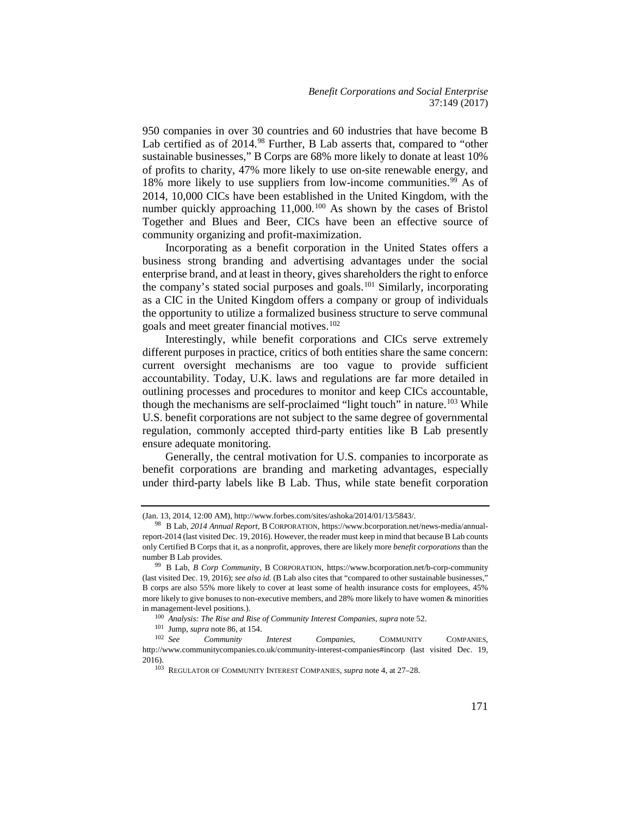950 companies in over 30 countries and 60 industries that have become B Lab certified as of 2014.<sup>[98](#page-23-0)</sup> Further, B Lab asserts that, compared to "other sustainable businesses," B Corps are 68% more likely to donate at least 10% of profits to charity, 47% more likely to use on-site renewable energy, and 18% more likely to use suppliers from low-income communities.<sup>[99](#page-23-1)</sup> As of 2014, 10,000 CICs have been established in the United Kingdom, with the number quickly approaching 11,000.<sup>[100](#page-23-2)</sup> As shown by the cases of Bristol Together and Blues and Beer, CICs have been an effective source of community organizing and profit-maximization.

Incorporating as a benefit corporation in the United States offers a business strong branding and advertising advantages under the social enterprise brand, and at least in theory, gives shareholders the right to enforce the company's stated social purposes and goals.[101](#page-23-3) Similarly, incorporating as a CIC in the United Kingdom offers a company or group of individuals the opportunity to utilize a formalized business structure to serve communal goals and meet greater financial motives.[102](#page-23-4)

Interestingly, while benefit corporations and CICs serve extremely different purposes in practice, critics of both entities share the same concern: current oversight mechanisms are too vague to provide sufficient accountability. Today, U.K. laws and regulations are far more detailed in outlining processes and procedures to monitor and keep CICs accountable, though the mechanisms are self-proclaimed "light touch" in nature.<sup>[103](#page-23-5)</sup> While U.S. benefit corporations are not subject to the same degree of governmental regulation, commonly accepted third-party entities like B Lab presently ensure adequate monitoring.

Generally, the central motivation for U.S. companies to incorporate as benefit corporations are branding and marketing advantages, especially under third-party labels like B Lab. Thus, while state benefit corporation

<sup>(</sup>Jan. 13, 2014, 12:00 AM), http://www.forbes.com/sites/ashoka/2014/01/13/5843/.

<span id="page-23-0"></span><sup>98</sup> B Lab, *2014 Annual Report*, B CORPORATION, https://www.bcorporation.net/news-media/annualreport-2014 (last visited Dec. 19, 2016). However, the reader must keep in mind that because B Lab counts only Certified B Corps that it, as a nonprofit, approves, there are likely more *benefit corporations* than the number B Lab provides.

<span id="page-23-1"></span><sup>99</sup> B Lab, *B Corp Community*, B CORPORATION, https://www.bcorporation.net/b-corp-community (last visited Dec. 19, 2016); *see also id.* (B Lab also cites that "compared to other sustainable businesses," B corps are also 55% more likely to cover at least some of health insurance costs for employees, 45% more likely to give bonuses to non-executive members, and 28% more likely to have women & minorities in management-level positions.).<br>
<sup>100</sup> *Analysis: The Rise and Rise of Community Interest Companies, supra* note 52.<br>
<sup>101</sup> Jump, *supra* note 86, at 154.<br>
<sup>102</sup> *See Community Interest Companies,* COMMUNITY

<span id="page-23-5"></span><span id="page-23-4"></span><span id="page-23-3"></span><span id="page-23-2"></span>**Community** Interest Companies, COMMUNITY COMPANIES, http://www.communitycompanies.co.uk/community-interest-companies#incorp (last visited Dec. 19, 2016). 103 REGULATOR OF COMMUNITY INTEREST COMPANIES, *supra* note 4, at 27–28.